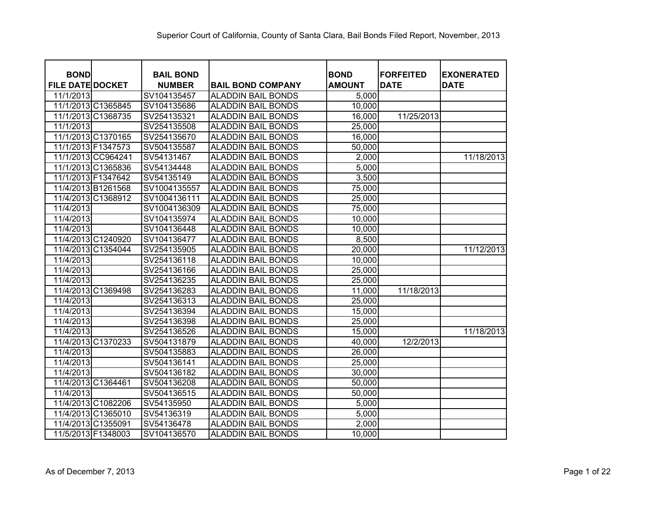| <b>BOND</b><br><b>FILE DATE DOCKET</b> | <b>BAIL BOND</b><br><b>NUMBER</b> | <b>BAIL BOND COMPANY</b>  | <b>BOND</b><br><b>AMOUNT</b> | <b>FORFEITED</b><br><b>DATE</b> | <b>EXONERATED</b><br><b>DATE</b> |
|----------------------------------------|-----------------------------------|---------------------------|------------------------------|---------------------------------|----------------------------------|
| 11/1/2013                              | SV104135457                       | <b>ALADDIN BAIL BONDS</b> | 5,000                        |                                 |                                  |
| 11/1/2013 C1365845                     | SV104135686                       | <b>ALADDIN BAIL BONDS</b> | 10,000                       |                                 |                                  |
| 11/1/2013 C1368735                     | SV254135321                       | <b>ALADDIN BAIL BONDS</b> | 16,000                       | 11/25/2013                      |                                  |
| 11/1/2013                              | SV254135508                       | <b>ALADDIN BAIL BONDS</b> | 25,000                       |                                 |                                  |
| 11/1/2013 C1370165                     | SV254135670                       | <b>ALADDIN BAIL BONDS</b> | 16,000                       |                                 |                                  |
| 11/1/2013 F1347573                     | SV504135587                       | <b>ALADDIN BAIL BONDS</b> | 50,000                       |                                 |                                  |
| 11/1/2013 CC964241                     | SV54131467                        | <b>ALADDIN BAIL BONDS</b> | 2,000                        |                                 | 11/18/2013                       |
| 11/1/2013 C1365836                     | SV54134448                        | <b>ALADDIN BAIL BONDS</b> | 5,000                        |                                 |                                  |
| 11/1/2013 F1347642                     | SV54135149                        | <b>ALADDIN BAIL BONDS</b> | 3,500                        |                                 |                                  |
| 11/4/2013 B1261568                     | SV1004135557                      | <b>ALADDIN BAIL BONDS</b> | 75,000                       |                                 |                                  |
| 11/4/2013 C1368912                     | SV1004136111                      | <b>ALADDIN BAIL BONDS</b> | 25,000                       |                                 |                                  |
| 11/4/2013                              | SV1004136309                      | <b>ALADDIN BAIL BONDS</b> | 75,000                       |                                 |                                  |
| 11/4/2013                              | SV104135974                       | <b>ALADDIN BAIL BONDS</b> | 10,000                       |                                 |                                  |
| 11/4/2013                              | SV104136448                       | <b>ALADDIN BAIL BONDS</b> | 10,000                       |                                 |                                  |
| 11/4/2013 C1240920                     | SV104136477                       | <b>ALADDIN BAIL BONDS</b> | 8,500                        |                                 |                                  |
| 11/4/2013 C1354044                     | SV254135905                       | <b>ALADDIN BAIL BONDS</b> | 20,000                       |                                 | 11/12/2013                       |
| 11/4/2013                              | SV254136118                       | <b>ALADDIN BAIL BONDS</b> | 10,000                       |                                 |                                  |
| 11/4/2013                              | SV254136166                       | <b>ALADDIN BAIL BONDS</b> | 25,000                       |                                 |                                  |
| 11/4/2013                              | SV254136235                       | <b>ALADDIN BAIL BONDS</b> | 25,000                       |                                 |                                  |
| 11/4/2013 C1369498                     | SV254136283                       | <b>ALADDIN BAIL BONDS</b> | 11,000                       | 11/18/2013                      |                                  |
| 11/4/2013                              | SV254136313                       | <b>ALADDIN BAIL BONDS</b> | 25,000                       |                                 |                                  |
| 11/4/2013                              | SV254136394                       | <b>ALADDIN BAIL BONDS</b> | 15,000                       |                                 |                                  |
| 11/4/2013                              | SV254136398                       | <b>ALADDIN BAIL BONDS</b> | 25,000                       |                                 |                                  |
| 11/4/2013                              | SV254136526                       | <b>ALADDIN BAIL BONDS</b> | 15,000                       |                                 | 11/18/2013                       |
| 11/4/2013 C1370233                     | SV504131879                       | <b>ALADDIN BAIL BONDS</b> | 40,000                       | 12/2/2013                       |                                  |
| 11/4/2013                              | SV504135883                       | <b>ALADDIN BAIL BONDS</b> | 26,000                       |                                 |                                  |
| 11/4/2013                              | SV504136141                       | <b>ALADDIN BAIL BONDS</b> | 25,000                       |                                 |                                  |
| 11/4/2013                              | SV504136182                       | <b>ALADDIN BAIL BONDS</b> | 30,000                       |                                 |                                  |
| 11/4/2013 C1364461                     | SV504136208                       | <b>ALADDIN BAIL BONDS</b> | 50,000                       |                                 |                                  |
| 11/4/2013                              | SV504136515                       | <b>ALADDIN BAIL BONDS</b> | 50,000                       |                                 |                                  |
| 11/4/2013 C1082206                     | SV54135950                        | <b>ALADDIN BAIL BONDS</b> | 5,000                        |                                 |                                  |
| 11/4/2013 C1365010                     | SV54136319                        | <b>ALADDIN BAIL BONDS</b> | 5,000                        |                                 |                                  |
| 11/4/2013 C1355091                     | SV54136478                        | <b>ALADDIN BAIL BONDS</b> | 2,000                        |                                 |                                  |
| 11/5/2013 F1348003                     | SV104136570                       | <b>ALADDIN BAIL BONDS</b> | 10,000                       |                                 |                                  |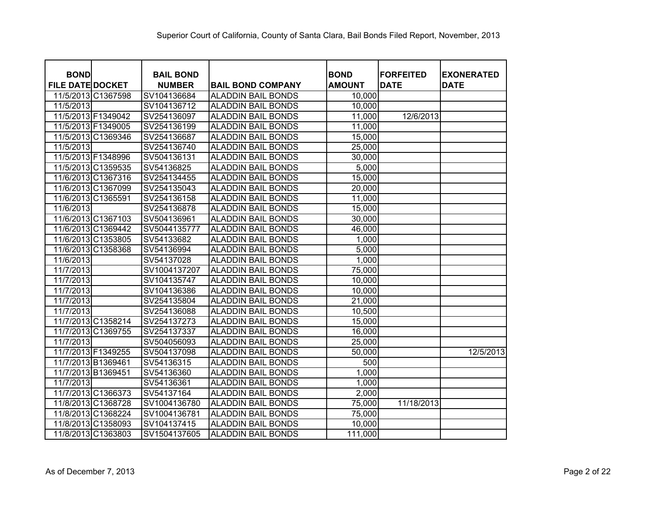| <b>BOND</b>             |                    | <b>BAIL BOND</b> |                           | <b>BOND</b>   | <b>FORFEITED</b> | <b>EXONERATED</b> |
|-------------------------|--------------------|------------------|---------------------------|---------------|------------------|-------------------|
| <b>FILE DATE DOCKET</b> |                    | <b>NUMBER</b>    | <b>BAIL BOND COMPANY</b>  | <b>AMOUNT</b> | <b>DATE</b>      | <b>DATE</b>       |
|                         | 11/5/2013 C1367598 | SV104136684      | <b>ALADDIN BAIL BONDS</b> | 10,000        |                  |                   |
| 11/5/2013               |                    | SV104136712      | ALADDIN BAIL BONDS        | 10,000        |                  |                   |
|                         | 11/5/2013 F1349042 | SV254136097      | ALADDIN BAIL BONDS        | 11,000        | 12/6/2013        |                   |
|                         | 11/5/2013 F1349005 | SV254136199      | <b>ALADDIN BAIL BONDS</b> | 11,000        |                  |                   |
|                         | 11/5/2013 C1369346 | SV254136687      | <b>ALADDIN BAIL BONDS</b> | 15,000        |                  |                   |
| 11/5/2013               |                    | SV254136740      | <b>ALADDIN BAIL BONDS</b> | 25,000        |                  |                   |
|                         | 11/5/2013 F1348996 | SV504136131      | <b>ALADDIN BAIL BONDS</b> | 30,000        |                  |                   |
|                         | 11/5/2013 C1359535 | SV54136825       | <b>ALADDIN BAIL BONDS</b> | 5,000         |                  |                   |
|                         | 11/6/2013 C1367316 | SV254134455      | <b>ALADDIN BAIL BONDS</b> | 15,000        |                  |                   |
|                         | 11/6/2013 C1367099 | SV254135043      | <b>ALADDIN BAIL BONDS</b> | 20,000        |                  |                   |
|                         | 11/6/2013 C1365591 | SV254136158      | <b>ALADDIN BAIL BONDS</b> | 11,000        |                  |                   |
| 11/6/2013               |                    | SV254136878      | <b>ALADDIN BAIL BONDS</b> | 15,000        |                  |                   |
|                         | 11/6/2013 C1367103 | SV504136961      | <b>ALADDIN BAIL BONDS</b> | 30,000        |                  |                   |
|                         | 11/6/2013 C1369442 | SV5044135777     | <b>ALADDIN BAIL BONDS</b> | 46,000        |                  |                   |
|                         | 11/6/2013 C1353805 | SV54133682       | <b>ALADDIN BAIL BONDS</b> | 1,000         |                  |                   |
|                         | 11/6/2013 C1358368 | SV54136994       | <b>ALADDIN BAIL BONDS</b> | 5,000         |                  |                   |
| 11/6/2013               |                    | SV54137028       | <b>ALADDIN BAIL BONDS</b> | 1,000         |                  |                   |
| 11/7/2013               |                    | SV1004137207     | <b>ALADDIN BAIL BONDS</b> | 75,000        |                  |                   |
| 11/7/2013               |                    | SV104135747      | <b>ALADDIN BAIL BONDS</b> | 10,000        |                  |                   |
| 11/7/2013               |                    | SV104136386      | <b>ALADDIN BAIL BONDS</b> | 10,000        |                  |                   |
| 11/7/2013               |                    | SV254135804      | <b>ALADDIN BAIL BONDS</b> | 21,000        |                  |                   |
| 11/7/2013               |                    | SV254136088      | <b>ALADDIN BAIL BONDS</b> | 10,500        |                  |                   |
|                         | 11/7/2013 C1358214 | SV254137273      | <b>ALADDIN BAIL BONDS</b> | 15,000        |                  |                   |
|                         | 11/7/2013 C1369755 | SV254137337      | ALADDIN BAIL BONDS        | 16,000        |                  |                   |
| 11/7/2013               |                    | SV504056093      | <b>ALADDIN BAIL BONDS</b> | 25,000        |                  |                   |
|                         | 11/7/2013 F1349255 | SV504137098      | ALADDIN BAIL BONDS        | 50,000        |                  | 12/5/2013         |
|                         | 11/7/2013 B1369461 | SV54136315       | <b>ALADDIN BAIL BONDS</b> | 500           |                  |                   |
| 11/7/2013 B1369451      |                    | SV54136360       | <b>ALADDIN BAIL BONDS</b> | 1,000         |                  |                   |
| 11/7/2013               |                    | SV54136361       | <b>ALADDIN BAIL BONDS</b> | 1,000         |                  |                   |
|                         | 11/7/2013 C1366373 | SV54137164       | <b>ALADDIN BAIL BONDS</b> | 2,000         |                  |                   |
|                         | 11/8/2013 C1368728 | SV1004136780     | <b>ALADDIN BAIL BONDS</b> | 75,000        | 11/18/2013       |                   |
|                         | 11/8/2013 C1368224 | SV1004136781     | <b>ALADDIN BAIL BONDS</b> | 75,000        |                  |                   |
|                         | 11/8/2013 C1358093 | SV104137415      | <b>ALADDIN BAIL BONDS</b> | 10,000        |                  |                   |
|                         | 11/8/2013 C1363803 | SV1504137605     | <b>ALADDIN BAIL BONDS</b> | 111,000       |                  |                   |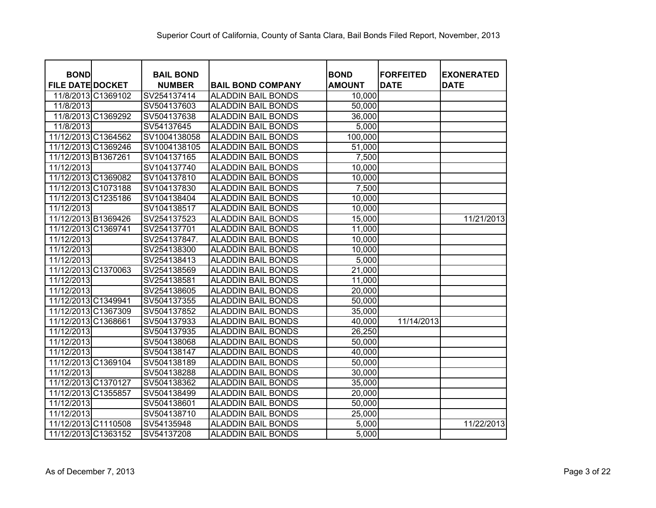| <b>BOND</b>             | <b>BAIL BOND</b> |                           | <b>BOND</b>   | <b>FORFEITED</b> | <b>EXONERATED</b> |
|-------------------------|------------------|---------------------------|---------------|------------------|-------------------|
| <b>FILE DATE DOCKET</b> | <b>NUMBER</b>    | <b>BAIL BOND COMPANY</b>  | <b>AMOUNT</b> | <b>DATE</b>      | <b>DATE</b>       |
| 11/8/2013 C1369102      | SV254137414      | <b>ALADDIN BAIL BONDS</b> | 10,000        |                  |                   |
| 11/8/2013               | SV504137603      | <b>ALADDIN BAIL BONDS</b> | 50,000        |                  |                   |
| 11/8/2013 C1369292      | SV504137638      | <b>ALADDIN BAIL BONDS</b> | 36,000        |                  |                   |
| 11/8/2013               | SV54137645       | <b>ALADDIN BAIL BONDS</b> | 5,000         |                  |                   |
| 11/12/2013 C1364562     | SV1004138058     | <b>ALADDIN BAIL BONDS</b> | 100,000       |                  |                   |
| 11/12/2013 C1369246     | SV1004138105     | <b>ALADDIN BAIL BONDS</b> | 51,000        |                  |                   |
| 11/12/2013 B1367261     | SV104137165      | <b>ALADDIN BAIL BONDS</b> | 7,500         |                  |                   |
| 11/12/2013              | SV104137740      | <b>ALADDIN BAIL BONDS</b> | 10,000        |                  |                   |
| 11/12/2013 C1369082     | SV104137810      | <b>ALADDIN BAIL BONDS</b> | 10,000        |                  |                   |
| 11/12/2013 C1073188     | SV104137830      | <b>ALADDIN BAIL BONDS</b> | 7,500         |                  |                   |
| 11/12/2013 C1235186     | SV104138404      | <b>ALADDIN BAIL BONDS</b> | 10,000        |                  |                   |
| 11/12/2013              | SV104138517      | <b>ALADDIN BAIL BONDS</b> | 10,000        |                  |                   |
| 11/12/2013 B1369426     | SV254137523      | <b>ALADDIN BAIL BONDS</b> | 15,000        |                  | 11/21/2013        |
| 11/12/2013 C1369741     | SV254137701      | <b>ALADDIN BAIL BONDS</b> | 11,000        |                  |                   |
| 11/12/2013              | SV254137847.     | <b>ALADDIN BAIL BONDS</b> | 10,000        |                  |                   |
| 11/12/2013              | SV254138300      | <b>ALADDIN BAIL BONDS</b> | 10,000        |                  |                   |
| 11/12/2013              | SV254138413      | <b>ALADDIN BAIL BONDS</b> | 5,000         |                  |                   |
| 11/12/2013 C1370063     | SV254138569      | <b>ALADDIN BAIL BONDS</b> | 21,000        |                  |                   |
| 11/12/2013              | SV254138581      | <b>ALADDIN BAIL BONDS</b> | 11,000        |                  |                   |
| 11/12/2013              | SV254138605      | <b>ALADDIN BAIL BONDS</b> | 20,000        |                  |                   |
| 11/12/2013 C1349941     | SV504137355      | <b>ALADDIN BAIL BONDS</b> | 50,000        |                  |                   |
| 11/12/2013 C1367309     | SV504137852      | <b>ALADDIN BAIL BONDS</b> | 35,000        |                  |                   |
| 11/12/2013 C1368661     | SV504137933      | <b>ALADDIN BAIL BONDS</b> | 40,000        | 11/14/2013       |                   |
| 11/12/2013              | SV504137935      | <b>ALADDIN BAIL BONDS</b> | 26,250        |                  |                   |
| 11/12/2013              | SV504138068      | <b>ALADDIN BAIL BONDS</b> | 50,000        |                  |                   |
| 11/12/2013              | SV504138147      | <b>ALADDIN BAIL BONDS</b> | 40,000        |                  |                   |
| 11/12/2013 C1369104     | SV504138189      | <b>ALADDIN BAIL BONDS</b> | 50,000        |                  |                   |
| 11/12/2013              | SV504138288      | <b>ALADDIN BAIL BONDS</b> | 30,000        |                  |                   |
| 11/12/2013 C1370127     | SV504138362      | <b>ALADDIN BAIL BONDS</b> | 35,000        |                  |                   |
| 11/12/2013 C1355857     | SV504138499      | <b>ALADDIN BAIL BONDS</b> | 20,000        |                  |                   |
| 11/12/2013              | SV504138601      | <b>ALADDIN BAIL BONDS</b> | 50,000        |                  |                   |
| 11/12/2013              | SV504138710      | <b>ALADDIN BAIL BONDS</b> | 25,000        |                  |                   |
| 11/12/2013 C1110508     | SV54135948       | <b>ALADDIN BAIL BONDS</b> | 5,000         |                  | 11/22/2013        |
| 11/12/2013 C1363152     | SV54137208       | <b>ALADDIN BAIL BONDS</b> | 5,000         |                  |                   |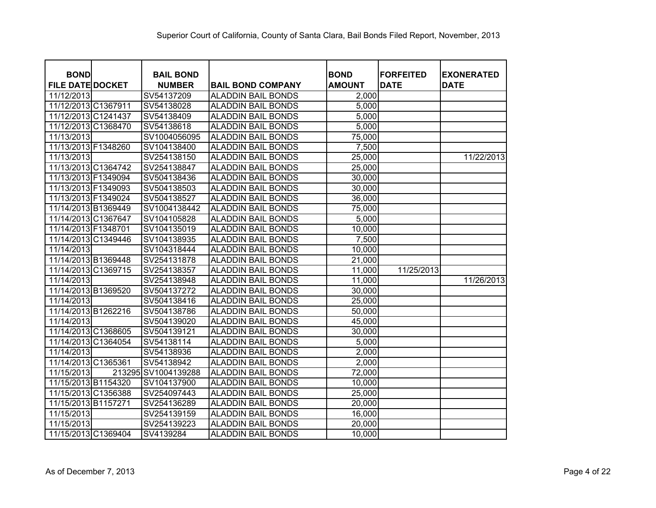| <b>BOND</b>             | <b>BAIL BOND</b>    |                           | <b>BOND</b>   | <b>FORFEITED</b> | <b>EXONERATED</b> |
|-------------------------|---------------------|---------------------------|---------------|------------------|-------------------|
| <b>FILE DATE DOCKET</b> | <b>NUMBER</b>       | <b>BAIL BOND COMPANY</b>  | <b>AMOUNT</b> | <b>DATE</b>      | <b>DATE</b>       |
| 11/12/2013              | SV54137209          | <b>ALADDIN BAIL BONDS</b> | 2,000         |                  |                   |
| 11/12/2013 C1367911     | SV54138028          | <b>ALADDIN BAIL BONDS</b> | 5,000         |                  |                   |
| 11/12/2013 C1241437     | SV54138409          | <b>ALADDIN BAIL BONDS</b> | 5,000         |                  |                   |
| 11/12/2013 C1368470     | SV54138618          | <b>ALADDIN BAIL BONDS</b> | 5,000         |                  |                   |
| 11/13/2013              | SV1004056095        | <b>ALADDIN BAIL BONDS</b> | 75,000        |                  |                   |
| 11/13/2013 F1348260     | SV104138400         | <b>ALADDIN BAIL BONDS</b> | 7,500         |                  |                   |
| 11/13/2013              | SV254138150         | <b>ALADDIN BAIL BONDS</b> | 25,000        |                  | 11/22/2013        |
| 11/13/2013 C1364742     | SV254138847         | <b>ALADDIN BAIL BONDS</b> | 25,000        |                  |                   |
| 11/13/2013 F1349094     | SV504138436         | <b>ALADDIN BAIL BONDS</b> | 30,000        |                  |                   |
| 11/13/2013 F1349093     | SV504138503         | <b>ALADDIN BAIL BONDS</b> | 30,000        |                  |                   |
| 11/13/2013 F1349024     | SV504138527         | <b>ALADDIN BAIL BONDS</b> | 36,000        |                  |                   |
| 11/14/2013 B1369449     | SV1004138442        | <b>ALADDIN BAIL BONDS</b> | 75,000        |                  |                   |
| 11/14/2013 C1367647     | SV104105828         | <b>ALADDIN BAIL BONDS</b> | 5,000         |                  |                   |
| 11/14/2013 F1348701     | SV104135019         | <b>ALADDIN BAIL BONDS</b> | 10,000        |                  |                   |
| 11/14/2013 C1349446     | SV104138935         | <b>ALADDIN BAIL BONDS</b> | 7,500         |                  |                   |
| 11/14/2013              | SV104318444         | <b>ALADDIN BAIL BONDS</b> | 10,000        |                  |                   |
| 11/14/2013 B1369448     | SV254131878         | <b>ALADDIN BAIL BONDS</b> | 21,000        |                  |                   |
| 11/14/2013 C1369715     | SV254138357         | <b>ALADDIN BAIL BONDS</b> | 11,000        | 11/25/2013       |                   |
| 11/14/2013              | SV254138948         | <b>ALADDIN BAIL BONDS</b> | 11,000        |                  | 11/26/2013        |
| 11/14/2013 B1369520     | SV504137272         | <b>ALADDIN BAIL BONDS</b> | 30,000        |                  |                   |
| 11/14/2013              | SV504138416         | <b>ALADDIN BAIL BONDS</b> | 25,000        |                  |                   |
| 11/14/2013 B1262216     | SV504138786         | <b>ALADDIN BAIL BONDS</b> | 50,000        |                  |                   |
| 11/14/2013              | SV504139020         | <b>ALADDIN BAIL BONDS</b> | 45,000        |                  |                   |
| 11/14/2013 C1368605     | SV504139121         | <b>ALADDIN BAIL BONDS</b> | 30,000        |                  |                   |
| 11/14/2013 C1364054     | SV54138114          | <b>ALADDIN BAIL BONDS</b> | 5,000         |                  |                   |
| 11/14/2013              | SV54138936          | <b>ALADDIN BAIL BONDS</b> | 2,000         |                  |                   |
| 11/14/2013 C1365361     | SV54138942          | <b>ALADDIN BAIL BONDS</b> | 2,000         |                  |                   |
| 11/15/2013              | 213295 SV1004139288 | <b>ALADDIN BAIL BONDS</b> | 72,000        |                  |                   |
| 11/15/2013 B1154320     | SV104137900         | <b>ALADDIN BAIL BONDS</b> | 10,000        |                  |                   |
| 11/15/2013 C1356388     | SV254097443         | <b>ALADDIN BAIL BONDS</b> | 25,000        |                  |                   |
| 11/15/2013 B1157271     | SV254136289         | <b>ALADDIN BAIL BONDS</b> | 20,000        |                  |                   |
| 11/15/2013              | SV254139159         | <b>ALADDIN BAIL BONDS</b> | 16,000        |                  |                   |
| 11/15/2013              | SV254139223         | <b>ALADDIN BAIL BONDS</b> | 20,000        |                  |                   |
| 11/15/2013 C1369404     | SV4139284           | <b>ALADDIN BAIL BONDS</b> | 10,000        |                  |                   |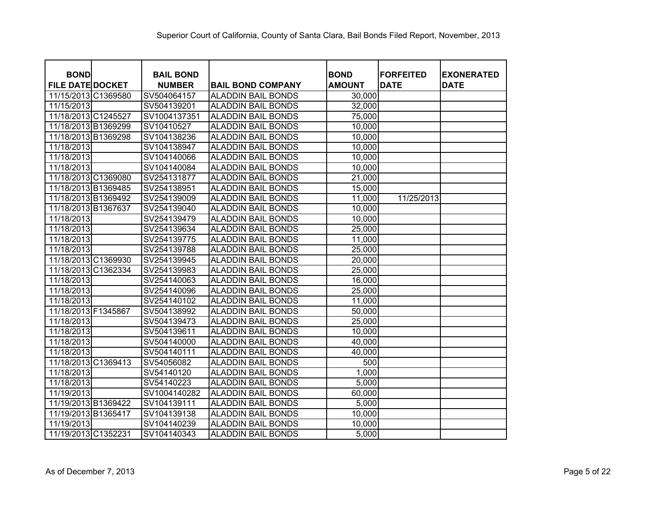|                                        |                                   |                           | <b>BOND</b>   | <b>IFORFEITED</b> |                                  |
|----------------------------------------|-----------------------------------|---------------------------|---------------|-------------------|----------------------------------|
| <b>BOND</b><br><b>FILE DATE DOCKET</b> | <b>BAIL BOND</b><br><b>NUMBER</b> | <b>BAIL BOND COMPANY</b>  | <b>AMOUNT</b> | <b>DATE</b>       | <b>EXONERATED</b><br><b>DATE</b> |
| 11/15/2013 C1369580                    | SV504064157                       | <b>ALADDIN BAIL BONDS</b> | 30,000        |                   |                                  |
| 11/15/2013                             | SV504139201                       | <b>ALADDIN BAIL BONDS</b> | 32,000        |                   |                                  |
| 11/18/2013 C1245527                    | SV1004137351                      | <b>ALADDIN BAIL BONDS</b> | 75,000        |                   |                                  |
| 11/18/2013 B1369299                    | SV10410527                        | <b>ALADDIN BAIL BONDS</b> | 10,000        |                   |                                  |
| 11/18/2013 B1369298                    | SV104138236                       | <b>ALADDIN BAIL BONDS</b> | 10,000        |                   |                                  |
| 11/18/2013                             | SV104138947                       | <b>ALADDIN BAIL BONDS</b> | 10,000        |                   |                                  |
| 11/18/2013                             | SV104140066                       | <b>ALADDIN BAIL BONDS</b> | 10,000        |                   |                                  |
| 11/18/2013                             | SV104140084                       | <b>ALADDIN BAIL BONDS</b> | 10,000        |                   |                                  |
| 11/18/2013 C1369080                    | SV254131877                       | <b>ALADDIN BAIL BONDS</b> | 21,000        |                   |                                  |
| 11/18/2013 B1369485                    | SV254138951                       | <b>ALADDIN BAIL BONDS</b> | 15,000        |                   |                                  |
| 11/18/2013 B1369492                    | SV254139009                       | <b>ALADDIN BAIL BONDS</b> | 11,000        | 11/25/2013        |                                  |
| 11/18/2013 B1367637                    | SV254139040                       | <b>ALADDIN BAIL BONDS</b> | 10,000        |                   |                                  |
| 11/18/2013                             | SV254139479                       | <b>ALADDIN BAIL BONDS</b> | 10,000        |                   |                                  |
| 11/18/2013                             | SV254139634                       | <b>ALADDIN BAIL BONDS</b> | 25,000        |                   |                                  |
| 11/18/2013                             | SV254139775                       | <b>ALADDIN BAIL BONDS</b> | 11,000        |                   |                                  |
| 11/18/2013                             | SV254139788                       | <b>ALADDIN BAIL BONDS</b> | 25,000        |                   |                                  |
| 11/18/2013 C1369930                    | SV254139945                       | <b>ALADDIN BAIL BONDS</b> | 20,000        |                   |                                  |
| 11/18/2013 C1362334                    | SV254139983                       | <b>ALADDIN BAIL BONDS</b> | 25,000        |                   |                                  |
| 11/18/2013                             | SV254140063                       | <b>ALADDIN BAIL BONDS</b> | 16,000        |                   |                                  |
| 11/18/2013                             | SV254140096                       | <b>ALADDIN BAIL BONDS</b> | 25,000        |                   |                                  |
| 11/18/2013                             | SV254140102                       | <b>ALADDIN BAIL BONDS</b> | 11,000        |                   |                                  |
| 11/18/2013 F1345867                    | SV504138992                       | <b>ALADDIN BAIL BONDS</b> | 50,000        |                   |                                  |
| 11/18/2013                             | SV504139473                       | <b>ALADDIN BAIL BONDS</b> | 25,000        |                   |                                  |
| 11/18/2013                             | SV504139611                       | <b>ALADDIN BAIL BONDS</b> | 10,000        |                   |                                  |
| 11/18/2013                             | SV504140000                       | <b>ALADDIN BAIL BONDS</b> | 40,000        |                   |                                  |
| 11/18/2013                             | SV504140111                       | <b>ALADDIN BAIL BONDS</b> | 40,000        |                   |                                  |
| 11/18/2013 C1369413                    | SV54056082                        | <b>ALADDIN BAIL BONDS</b> | 500           |                   |                                  |
| 11/18/2013                             | SV54140120                        | <b>ALADDIN BAIL BONDS</b> | 1,000         |                   |                                  |
| 11/18/2013                             | SV54140223                        | <b>ALADDIN BAIL BONDS</b> | 5,000         |                   |                                  |
| 11/19/2013                             | SV1004140282                      | <b>ALADDIN BAIL BONDS</b> | 60,000        |                   |                                  |
| 11/19/2013 B1369422                    | SV104139111                       | <b>ALADDIN BAIL BONDS</b> | 5,000         |                   |                                  |
| 11/19/2013 B1365417                    | SV104139138                       | <b>ALADDIN BAIL BONDS</b> | 10,000        |                   |                                  |
| 11/19/2013                             | SV104140239                       | <b>ALADDIN BAIL BONDS</b> | 10,000        |                   |                                  |
| 11/19/2013 C1352231                    | SV104140343                       | <b>ALADDIN BAIL BONDS</b> | 5,000         |                   |                                  |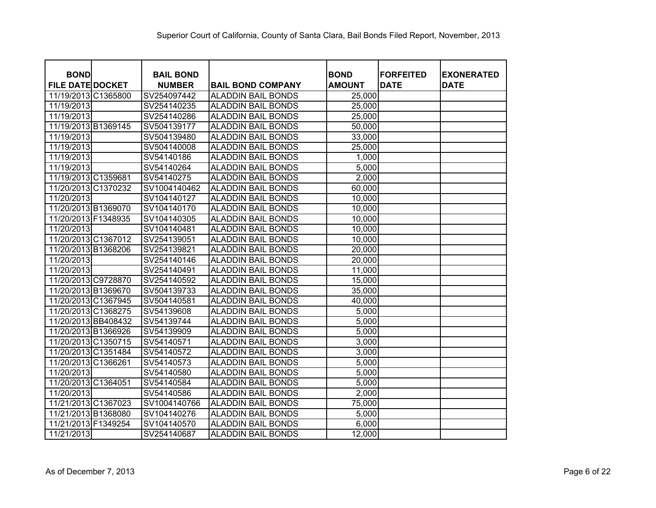| <b>BOND</b>             | <b>BAIL BOND</b> |                           | <b>BOND</b>   | <b>FORFEITED</b> | <b>EXONERATED</b> |
|-------------------------|------------------|---------------------------|---------------|------------------|-------------------|
| <b>FILE DATE DOCKET</b> | <b>NUMBER</b>    | <b>BAIL BOND COMPANY</b>  | <b>AMOUNT</b> | <b>DATE</b>      | <b>DATE</b>       |
| 11/19/2013 C1365800     | SV254097442      | <b>ALADDIN BAIL BONDS</b> | 25,000        |                  |                   |
| 11/19/2013              | SV254140235      | <b>ALADDIN BAIL BONDS</b> | 25,000        |                  |                   |
| 11/19/2013              | SV254140286      | <b>ALADDIN BAIL BONDS</b> | 25,000        |                  |                   |
| 11/19/2013 B1369145     | SV504139177      | <b>ALADDIN BAIL BONDS</b> | 50,000        |                  |                   |
| 11/19/2013              | SV504139480      | <b>ALADDIN BAIL BONDS</b> | 33,000        |                  |                   |
| 11/19/2013              | SV504140008      | <b>ALADDIN BAIL BONDS</b> | 25,000        |                  |                   |
| 11/19/2013              | SV54140186       | <b>ALADDIN BAIL BONDS</b> | 1,000         |                  |                   |
| 11/19/2013              | SV54140264       | <b>ALADDIN BAIL BONDS</b> | 5,000         |                  |                   |
| 11/19/2013 C1359681     | SV54140275       | <b>ALADDIN BAIL BONDS</b> | 2,000         |                  |                   |
| 11/20/2013 C1370232     | SV1004140462     | <b>ALADDIN BAIL BONDS</b> | 60,000        |                  |                   |
| 11/20/2013              | SV104140127      | <b>ALADDIN BAIL BONDS</b> | 10,000        |                  |                   |
| 11/20/2013 B1369070     | SV104140170      | <b>ALADDIN BAIL BONDS</b> | 10,000        |                  |                   |
| 11/20/2013 F1348935     | SV104140305      | <b>ALADDIN BAIL BONDS</b> | 10,000        |                  |                   |
| 11/20/2013              | SV104140481      | <b>ALADDIN BAIL BONDS</b> | 10,000        |                  |                   |
| 11/20/2013 C1367012     | SV254139051      | <b>ALADDIN BAIL BONDS</b> | 10,000        |                  |                   |
| 11/20/2013 B1368206     | SV254139821      | <b>ALADDIN BAIL BONDS</b> | 20,000        |                  |                   |
| 11/20/2013              | SV254140146      | <b>ALADDIN BAIL BONDS</b> | 20,000        |                  |                   |
| 11/20/2013              | SV254140491      | <b>ALADDIN BAIL BONDS</b> | 11,000        |                  |                   |
| 11/20/2013 C9728870     | SV254140592      | <b>ALADDIN BAIL BONDS</b> | 15,000        |                  |                   |
| 11/20/2013 B1369670     | SV504139733      | <b>ALADDIN BAIL BONDS</b> | 35,000        |                  |                   |
| 11/20/2013 C1367945     | SV504140581      | <b>ALADDIN BAIL BONDS</b> | 40,000        |                  |                   |
| 11/20/2013 C1368275     | SV54139608       | <b>ALADDIN BAIL BONDS</b> | 5,000         |                  |                   |
| 11/20/2013 BB408432     | SV54139744       | <b>ALADDIN BAIL BONDS</b> | 5,000         |                  |                   |
| 11/20/2013 B1366926     | SV54139909       | <b>ALADDIN BAIL BONDS</b> | 5,000         |                  |                   |
| 11/20/2013 C1350715     | SV54140571       | <b>ALADDIN BAIL BONDS</b> | 3,000         |                  |                   |
| 11/20/2013 C1351484     | SV54140572       | <b>ALADDIN BAIL BONDS</b> | 3,000         |                  |                   |
| 11/20/2013 C1366261     | SV54140573       | <b>ALADDIN BAIL BONDS</b> | 5,000         |                  |                   |
| 11/20/2013              | SV54140580       | <b>ALADDIN BAIL BONDS</b> | 5,000         |                  |                   |
| 11/20/2013 C1364051     | SV54140584       | <b>ALADDIN BAIL BONDS</b> | 5,000         |                  |                   |
| 11/20/2013              | SV54140586       | <b>ALADDIN BAIL BONDS</b> | 2,000         |                  |                   |
| 11/21/2013 C1367023     | SV1004140766     | <b>ALADDIN BAIL BONDS</b> | 75,000        |                  |                   |
| 11/21/2013 B1368080     | SV104140276      | <b>ALADDIN BAIL BONDS</b> | 5,000         |                  |                   |
| 11/21/2013 F1349254     | SV104140570      | <b>ALADDIN BAIL BONDS</b> | 6,000         |                  |                   |
| 11/21/2013              | SV254140687      | <b>ALADDIN BAIL BONDS</b> | 12,000        |                  |                   |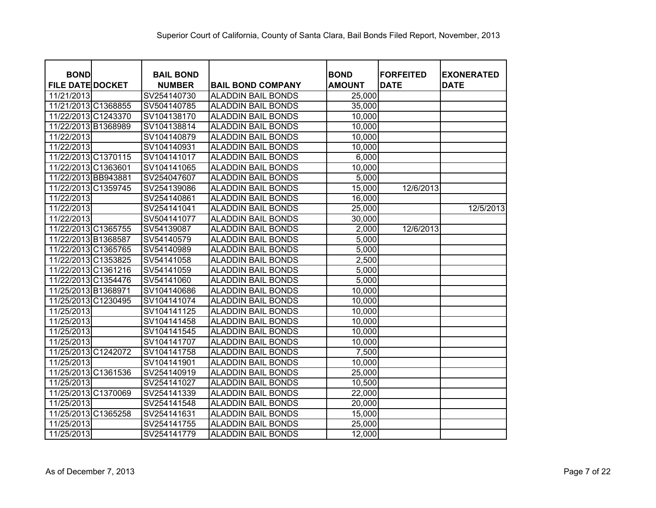| <b>BOND</b>             | <b>BAIL BOND</b> |                           | <b>BOND</b>   | <b>FORFEITED</b> | <b>EXONERATED</b> |
|-------------------------|------------------|---------------------------|---------------|------------------|-------------------|
| <b>FILE DATE DOCKET</b> | <b>NUMBER</b>    | <b>BAIL BOND COMPANY</b>  | <b>AMOUNT</b> | <b>DATE</b>      | <b>DATE</b>       |
| 11/21/2013              | SV254140730      | <b>ALADDIN BAIL BONDS</b> | 25,000        |                  |                   |
| 11/21/2013 C1368855     | SV504140785      | <b>ALADDIN BAIL BONDS</b> | 35,000        |                  |                   |
| 11/22/2013 C1243370     | SV104138170      | <b>ALADDIN BAIL BONDS</b> | 10,000        |                  |                   |
| 11/22/2013 B1368989     | SV104138814      | <b>ALADDIN BAIL BONDS</b> | 10,000        |                  |                   |
| 11/22/2013              | SV104140879      | <b>ALADDIN BAIL BONDS</b> | 10,000        |                  |                   |
| 11/22/2013              | SV104140931      | <b>ALADDIN BAIL BONDS</b> | 10,000        |                  |                   |
| 11/22/2013 C1370115     | SV104141017      | <b>ALADDIN BAIL BONDS</b> | 6,000         |                  |                   |
| 11/22/2013 C1363601     | SV104141065      | <b>ALADDIN BAIL BONDS</b> | 10,000        |                  |                   |
| 11/22/2013 BB943881     | SV254047607      | <b>ALADDIN BAIL BONDS</b> | 5,000         |                  |                   |
| 11/22/2013 C1359745     | SV254139086      | <b>ALADDIN BAIL BONDS</b> | 15,000        | 12/6/2013        |                   |
| 11/22/2013              | SV254140861      | <b>ALADDIN BAIL BONDS</b> | 16,000        |                  |                   |
| 11/22/2013              | SV254141041      | <b>ALADDIN BAIL BONDS</b> | 25,000        |                  | 12/5/2013         |
| 11/22/2013              | SV504141077      | <b>ALADDIN BAIL BONDS</b> | 30,000        |                  |                   |
| 11/22/2013 C1365755     | SV54139087       | <b>ALADDIN BAIL BONDS</b> | 2,000         | 12/6/2013        |                   |
| 11/22/2013 B1368587     | SV54140579       | <b>ALADDIN BAIL BONDS</b> | 5,000         |                  |                   |
| 11/22/2013 C1365765     | SV54140989       | <b>ALADDIN BAIL BONDS</b> | 5,000         |                  |                   |
| 11/22/2013 C1353825     | SV54141058       | <b>ALADDIN BAIL BONDS</b> | 2,500         |                  |                   |
| 11/22/2013 C1361216     | SV54141059       | <b>ALADDIN BAIL BONDS</b> | 5,000         |                  |                   |
| 11/22/2013 C1354476     | SV54141060       | <b>ALADDIN BAIL BONDS</b> | 5,000         |                  |                   |
| 11/25/2013 B1368971     | SV104140686      | <b>ALADDIN BAIL BONDS</b> | 10,000        |                  |                   |
| 11/25/2013 C1230495     | SV104141074      | <b>ALADDIN BAIL BONDS</b> | 10,000        |                  |                   |
| 11/25/2013              | SV104141125      | <b>ALADDIN BAIL BONDS</b> | 10,000        |                  |                   |
| 11/25/2013              | SV104141458      | <b>ALADDIN BAIL BONDS</b> | 10,000        |                  |                   |
| 11/25/2013              | SV104141545      | <b>ALADDIN BAIL BONDS</b> | 10,000        |                  |                   |
| 11/25/2013              | SV104141707      | <b>ALADDIN BAIL BONDS</b> | 10,000        |                  |                   |
| 11/25/2013 C1242072     | SV104141758      | <b>ALADDIN BAIL BONDS</b> | 7,500         |                  |                   |
| 11/25/2013              | SV104141901      | <b>ALADDIN BAIL BONDS</b> | 10,000        |                  |                   |
| 11/25/2013 C1361536     | SV254140919      | <b>ALADDIN BAIL BONDS</b> | 25,000        |                  |                   |
| 11/25/2013              | SV254141027      | <b>ALADDIN BAIL BONDS</b> | 10,500        |                  |                   |
| 11/25/2013 C1370069     | SV254141339      | <b>ALADDIN BAIL BONDS</b> | 22,000        |                  |                   |
| 11/25/2013              | SV254141548      | <b>ALADDIN BAIL BONDS</b> | 20,000        |                  |                   |
| 11/25/2013 C1365258     | SV254141631      | <b>ALADDIN BAIL BONDS</b> | 15,000        |                  |                   |
| 11/25/2013              | SV254141755      | <b>ALADDIN BAIL BONDS</b> | 25,000        |                  |                   |
| 11/25/2013              | SV254141779      | <b>ALADDIN BAIL BONDS</b> | 12,000        |                  |                   |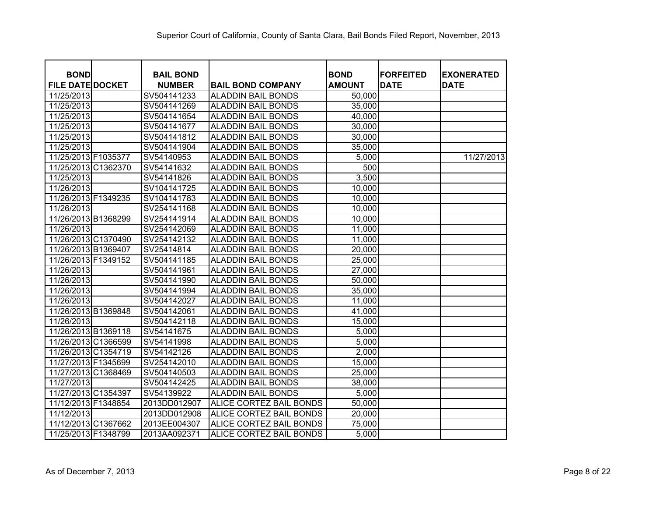| <b>BOND</b><br><b>FILE DATE DOCKET</b> | <b>BAIL BOND</b><br><b>NUMBER</b> | <b>BAIL BOND COMPANY</b>  | <b>BOND</b><br><b>AMOUNT</b> | <b>FORFEITED</b><br><b>DATE</b> | <b>EXONERATED</b><br><b>DATE</b> |
|----------------------------------------|-----------------------------------|---------------------------|------------------------------|---------------------------------|----------------------------------|
| 11/25/2013                             | SV504141233                       | <b>ALADDIN BAIL BONDS</b> | 50,000                       |                                 |                                  |
| 11/25/2013                             | SV504141269                       | <b>ALADDIN BAIL BONDS</b> | 35,000                       |                                 |                                  |
| 11/25/2013                             | SV504141654                       | <b>ALADDIN BAIL BONDS</b> | 40,000                       |                                 |                                  |
| 11/25/2013                             | SV504141677                       | <b>ALADDIN BAIL BONDS</b> | 30,000                       |                                 |                                  |
| 11/25/2013                             | SV504141812                       | <b>ALADDIN BAIL BONDS</b> | 30,000                       |                                 |                                  |
| 11/25/2013                             | SV504141904                       | <b>ALADDIN BAIL BONDS</b> | 35,000                       |                                 |                                  |
| 11/25/2013 F1035377                    | SV54140953                        | ALADDIN BAIL BONDS        | 5,000                        |                                 | 11/27/2013                       |
| 11/25/2013 C1362370                    | SV54141632                        | ALADDIN BAIL BONDS        | 500                          |                                 |                                  |
| 11/25/2013                             | SV54141826                        | ALADDIN BAIL BONDS        | 3,500                        |                                 |                                  |
| 11/26/2013                             | SV104141725                       | ALADDIN BAIL BONDS        | 10,000                       |                                 |                                  |
| 11/26/2013 F1349235                    | SV104141783                       | <b>ALADDIN BAIL BONDS</b> | 10,000                       |                                 |                                  |
| 11/26/2013                             | SV254141168                       | ALADDIN BAIL BONDS        | 10,000                       |                                 |                                  |
| 11/26/2013 B1368299                    | SV254141914                       | ALADDIN BAIL BONDS        | 10,000                       |                                 |                                  |
| 11/26/2013                             | SV254142069                       | ALADDIN BAIL BONDS        | 11,000                       |                                 |                                  |
| 11/26/2013 C1370490                    | SV254142132                       | ALADDIN BAIL BONDS        | 11,000                       |                                 |                                  |
| 11/26/2013 B1369407                    | SV25414814                        | ALADDIN BAIL BONDS        | 20,000                       |                                 |                                  |
| 11/26/2013 F1349152                    | SV504141185                       | ALADDIN BAIL BONDS        | 25,000                       |                                 |                                  |
| 11/26/2013                             | SV504141961                       | <b>ALADDIN BAIL BONDS</b> | 27,000                       |                                 |                                  |
| 11/26/2013                             | SV504141990                       | ALADDIN BAIL BONDS        | 50,000                       |                                 |                                  |
| 11/26/2013                             | SV504141994                       | <b>ALADDIN BAIL BONDS</b> | 35,000                       |                                 |                                  |
| 11/26/2013                             | SV504142027                       | ALADDIN BAIL BONDS        | 11,000                       |                                 |                                  |
| 11/26/2013 B1369848                    | SV504142061                       | <b>ALADDIN BAIL BONDS</b> | 41,000                       |                                 |                                  |
| 11/26/2013                             | SV504142118                       | <b>ALADDIN BAIL BONDS</b> | 15,000                       |                                 |                                  |
| 11/26/2013 B1369118                    | SV54141675                        | <b>ALADDIN BAIL BONDS</b> | 5,000                        |                                 |                                  |
| 11/26/2013 C1366599                    | SV54141998                        | <b>ALADDIN BAIL BONDS</b> | 5,000                        |                                 |                                  |
| 11/26/2013 C1354719                    | SV54142126                        | <b>ALADDIN BAIL BONDS</b> | 2,000                        |                                 |                                  |
| 11/27/2013 F1345699                    | SV254142010                       | <b>ALADDIN BAIL BONDS</b> | 15,000                       |                                 |                                  |
| 11/27/2013 C1368469                    | SV504140503                       | <b>ALADDIN BAIL BONDS</b> | 25,000                       |                                 |                                  |
| 11/27/2013                             | SV504142425                       | <b>ALADDIN BAIL BONDS</b> | 38,000                       |                                 |                                  |
| 11/27/2013 C1354397                    | SV54139922                        | <b>ALADDIN BAIL BONDS</b> | 5,000                        |                                 |                                  |
| 11/12/2013 F1348854                    | 2013DD012907                      | ALICE CORTEZ BAIL BONDS   | 50,000                       |                                 |                                  |
| 11/12/2013                             | 2013DD012908                      | ALICE CORTEZ BAIL BONDS   | 20,000                       |                                 |                                  |
| 11/12/2013 C1367662                    | 2013EE004307                      | ALICE CORTEZ BAIL BONDS   | 75,000                       |                                 |                                  |
| 11/25/2013 F1348799                    | 2013AA092371                      | ALICE CORTEZ BAIL BONDS   | 5,000                        |                                 |                                  |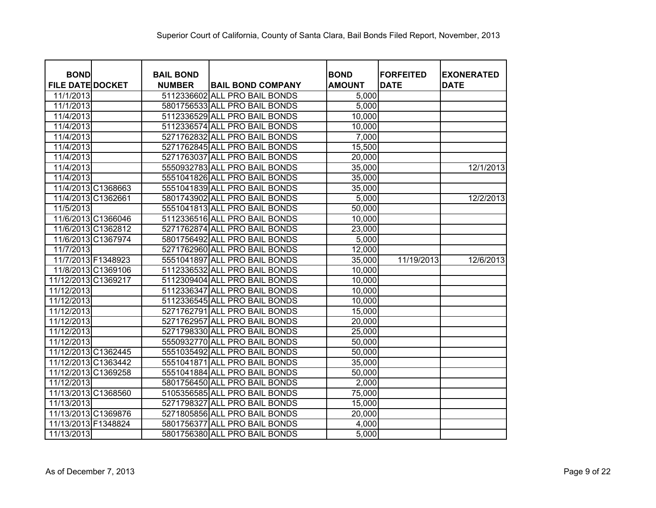| <b>BOND</b>             | <b>BAIL BOND</b> |                               | <b>BOND</b>   | <b>FORFEITED</b> | <b>EXONERATED</b> |
|-------------------------|------------------|-------------------------------|---------------|------------------|-------------------|
| <b>FILE DATE DOCKET</b> | <b>NUMBER</b>    | <b>BAIL BOND COMPANY</b>      | <b>AMOUNT</b> | <b>DATE</b>      | <b>DATE</b>       |
| 11/1/2013               |                  | 5112336602 ALL PRO BAIL BONDS | 5,000         |                  |                   |
| 11/1/2013               |                  | 5801756533 ALL PRO BAIL BONDS | 5,000         |                  |                   |
| 11/4/2013               |                  | 5112336529 ALL PRO BAIL BONDS | 10,000        |                  |                   |
| 11/4/2013               |                  | 5112336574 ALL PRO BAIL BONDS | 10,000        |                  |                   |
| 11/4/2013               |                  | 5271762832 ALL PRO BAIL BONDS | 7,000         |                  |                   |
| 11/4/2013               |                  | 5271762845 ALL PRO BAIL BONDS | 15,500        |                  |                   |
| 11/4/2013               |                  | 5271763037 ALL PRO BAIL BONDS | 20,000        |                  |                   |
| 11/4/2013               |                  | 5550932783 ALL PRO BAIL BONDS | 35,000        |                  | 12/1/2013         |
| 11/4/2013               |                  | 5551041826 ALL PRO BAIL BONDS | 35,000        |                  |                   |
| 11/4/2013 C1368663      |                  | 5551041839 ALL PRO BAIL BONDS | 35,000        |                  |                   |
| 11/4/2013 C1362661      |                  | 5801743902 ALL PRO BAIL BONDS | 5,000         |                  | 12/2/2013         |
| 11/5/2013               |                  | 5551041813 ALL PRO BAIL BONDS | 50,000        |                  |                   |
| 11/6/2013 C1366046      |                  | 5112336516 ALL PRO BAIL BONDS | 10,000        |                  |                   |
| 11/6/2013 C1362812      |                  | 5271762874 ALL PRO BAIL BONDS | 23,000        |                  |                   |
| 11/6/2013 C1367974      |                  | 5801756492 ALL PRO BAIL BONDS | 5,000         |                  |                   |
| 11/7/2013               |                  | 5271762960 ALL PRO BAIL BONDS | 12,000        |                  |                   |
| 11/7/2013 F1348923      |                  | 5551041897 ALL PRO BAIL BONDS | 35,000        | 11/19/2013       | 12/6/2013         |
| 11/8/2013 C1369106      |                  | 5112336532 ALL PRO BAIL BONDS | 10,000        |                  |                   |
| 11/12/2013 C1369217     |                  | 5112309404 ALL PRO BAIL BONDS | 10,000        |                  |                   |
| 11/12/2013              |                  | 5112336347 ALL PRO BAIL BONDS | 10,000        |                  |                   |
| 11/12/2013              |                  | 5112336545 ALL PRO BAIL BONDS | 10,000        |                  |                   |
| 11/12/2013              |                  | 5271762791 ALL PRO BAIL BONDS | 15,000        |                  |                   |
| 11/12/2013              |                  | 5271762957 ALL PRO BAIL BONDS | 20,000        |                  |                   |
| 11/12/2013              |                  | 5271798330 ALL PRO BAIL BONDS | 25,000        |                  |                   |
| 11/12/2013              |                  | 5550932770 ALL PRO BAIL BONDS | 50,000        |                  |                   |
| 11/12/2013 C1362445     |                  | 5551035492 ALL PRO BAIL BONDS | 50,000        |                  |                   |
| 11/12/2013 C1363442     |                  | 5551041871 ALL PRO BAIL BONDS | 35,000        |                  |                   |
| 11/12/2013 C1369258     |                  | 5551041884 ALL PRO BAIL BONDS | 50,000        |                  |                   |
| 11/12/2013              |                  | 5801756450 ALL PRO BAIL BONDS | 2,000         |                  |                   |
| 11/13/2013 C1368560     |                  | 5105356585 ALL PRO BAIL BONDS | 75,000        |                  |                   |
| 11/13/2013              |                  | 5271798327 ALL PRO BAIL BONDS | 15,000        |                  |                   |
| 11/13/2013 C1369876     |                  | 5271805856 ALL PRO BAIL BONDS | 20,000        |                  |                   |
| 11/13/2013 F1348824     |                  | 5801756377 ALL PRO BAIL BONDS | 4,000         |                  |                   |
| 11/13/2013              |                  | 5801756380 ALL PRO BAIL BONDS | 5,000         |                  |                   |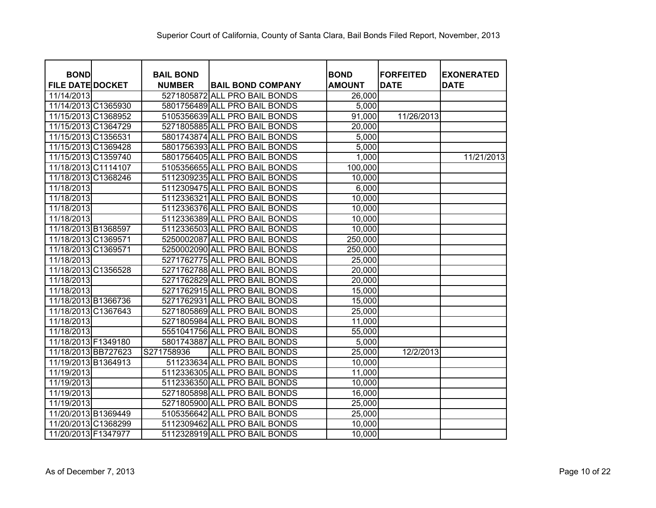| <b>BOND</b>             | <b>BAIL BOND</b> |                               | <b>BOND</b>   | <b>FORFEITED</b> | <b>EXONERATED</b> |
|-------------------------|------------------|-------------------------------|---------------|------------------|-------------------|
| <b>FILE DATE DOCKET</b> | <b>NUMBER</b>    | <b>BAIL BOND COMPANY</b>      | <b>AMOUNT</b> | <b>DATE</b>      | <b>DATE</b>       |
| 11/14/2013              |                  | 5271805872 ALL PRO BAIL BONDS | 26,000        |                  |                   |
| 11/14/2013 C1365930     |                  | 5801756489 ALL PRO BAIL BONDS | 5,000         |                  |                   |
| 11/15/2013 C1368952     |                  | 5105356639 ALL PRO BAIL BONDS | 91,000        | 11/26/2013       |                   |
| 11/15/2013 C1364729     |                  | 5271805885 ALL PRO BAIL BONDS | 20,000        |                  |                   |
| 11/15/2013 C1356531     |                  | 5801743874 ALL PRO BAIL BONDS | 5,000         |                  |                   |
| 11/15/2013 C1369428     |                  | 5801756393 ALL PRO BAIL BONDS | 5,000         |                  |                   |
| 11/15/2013 C1359740     |                  | 5801756405 ALL PRO BAIL BONDS | 1,000         |                  | 11/21/2013        |
| 11/18/2013 C1114107     |                  | 5105356655 ALL PRO BAIL BONDS | 100,000       |                  |                   |
| 11/18/2013 C1368246     |                  | 5112309235 ALL PRO BAIL BONDS | 10,000        |                  |                   |
| 11/18/2013              |                  | 5112309475 ALL PRO BAIL BONDS | 6,000         |                  |                   |
| 11/18/2013              |                  | 5112336321 ALL PRO BAIL BONDS | 10,000        |                  |                   |
| 11/18/2013              |                  | 5112336376 ALL PRO BAIL BONDS | 10,000        |                  |                   |
| 11/18/2013              |                  | 5112336389 ALL PRO BAIL BONDS | 10,000        |                  |                   |
| 11/18/2013 B1368597     |                  | 5112336503 ALL PRO BAIL BONDS | 10,000        |                  |                   |
| 11/18/2013 C1369571     |                  | 5250002087 ALL PRO BAIL BONDS | 250,000       |                  |                   |
| 11/18/2013 C1369571     |                  | 5250002090 ALL PRO BAIL BONDS | 250,000       |                  |                   |
| 11/18/2013              |                  | 5271762775 ALL PRO BAIL BONDS | 25,000        |                  |                   |
| 11/18/2013 C1356528     |                  | 5271762788 ALL PRO BAIL BONDS | 20,000        |                  |                   |
| 11/18/2013              |                  | 5271762829 ALL PRO BAIL BONDS | 20,000        |                  |                   |
| 11/18/2013              |                  | 5271762915 ALL PRO BAIL BONDS | 15,000        |                  |                   |
| 11/18/2013 B1366736     |                  | 5271762931 ALL PRO BAIL BONDS | 15,000        |                  |                   |
| 11/18/2013 C1367643     |                  | 5271805869 ALL PRO BAIL BONDS | 25,000        |                  |                   |
| 11/18/2013              |                  | 5271805984 ALL PRO BAIL BONDS | 11,000        |                  |                   |
| 11/18/2013              |                  | 5551041756 ALL PRO BAIL BONDS | 55,000        |                  |                   |
| 11/18/2013 F1349180     |                  | 5801743887 ALL PRO BAIL BONDS | 5,000         |                  |                   |
| 11/18/2013 BB727623     | S271758936       | ALL PRO BAIL BONDS            | 25,000        | 12/2/2013        |                   |
| 11/19/2013 B1364913     |                  | 511233634 ALL PRO BAIL BONDS  | 10,000        |                  |                   |
| 11/19/2013              |                  | 5112336305 ALL PRO BAIL BONDS | 11,000        |                  |                   |
| 11/19/2013              |                  | 5112336350 ALL PRO BAIL BONDS | 10,000        |                  |                   |
| 11/19/2013              |                  | 5271805898 ALL PRO BAIL BONDS | 16,000        |                  |                   |
| 11/19/2013              |                  | 5271805900 ALL PRO BAIL BONDS | 25,000        |                  |                   |
| 11/20/2013 B1369449     |                  | 5105356642 ALL PRO BAIL BONDS | 25,000        |                  |                   |
| 11/20/2013 C1368299     |                  | 5112309462 ALL PRO BAIL BONDS | 10,000        |                  |                   |
| 11/20/2013 F1347977     |                  | 5112328919 ALL PRO BAIL BONDS | 10,000        |                  |                   |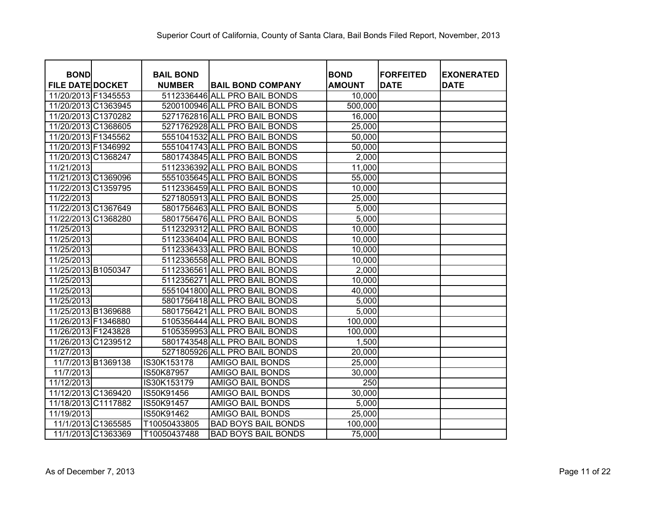| <b>BOND</b>             | <b>BAIL BOND</b> |                               | <b>BOND</b>   | <b>FORFEITED</b> | <b>EXONERATED</b> |
|-------------------------|------------------|-------------------------------|---------------|------------------|-------------------|
| <b>FILE DATE DOCKET</b> | <b>NUMBER</b>    | <b>BAIL BOND COMPANY</b>      | <b>AMOUNT</b> | <b>DATE</b>      | <b>DATE</b>       |
| 11/20/2013 F1345553     |                  | 5112336446 ALL PRO BAIL BONDS | 10,000        |                  |                   |
| 11/20/2013 C1363945     |                  | 5200100946 ALL PRO BAIL BONDS | 500,000       |                  |                   |
| 11/20/2013 C1370282     |                  | 5271762816 ALL PRO BAIL BONDS | 16,000        |                  |                   |
| 11/20/2013 C1368605     |                  | 5271762928 ALL PRO BAIL BONDS | 25,000        |                  |                   |
| 11/20/2013 F1345562     |                  | 5551041532 ALL PRO BAIL BONDS | 50,000        |                  |                   |
| 11/20/2013 F1346992     |                  | 5551041743 ALL PRO BAIL BONDS | 50,000        |                  |                   |
| 11/20/2013 C1368247     |                  | 5801743845 ALL PRO BAIL BONDS | 2,000         |                  |                   |
| 11/21/2013              |                  | 5112336392 ALL PRO BAIL BONDS | 11,000        |                  |                   |
| 11/21/2013 C1369096     |                  | 5551035645 ALL PRO BAIL BONDS | 55,000        |                  |                   |
| 11/22/2013 C1359795     |                  | 5112336459 ALL PRO BAIL BONDS | 10,000        |                  |                   |
| 11/22/2013              |                  | 5271805913 ALL PRO BAIL BONDS | 25,000        |                  |                   |
| 11/22/2013 C1367649     |                  | 5801756463 ALL PRO BAIL BONDS | 5,000         |                  |                   |
| 11/22/2013 C1368280     |                  | 5801756476 ALL PRO BAIL BONDS | 5,000         |                  |                   |
| 11/25/2013              |                  | 5112329312 ALL PRO BAIL BONDS | 10,000        |                  |                   |
| 11/25/2013              |                  | 5112336404 ALL PRO BAIL BONDS | 10,000        |                  |                   |
| 11/25/2013              |                  | 5112336433 ALL PRO BAIL BONDS | 10,000        |                  |                   |
| 11/25/2013              |                  | 5112336558 ALL PRO BAIL BONDS | 10,000        |                  |                   |
| 11/25/2013 B1050347     |                  | 5112336561 ALL PRO BAIL BONDS | 2,000         |                  |                   |
| 11/25/2013              |                  | 5112356271 ALL PRO BAIL BONDS | 10,000        |                  |                   |
| 11/25/2013              |                  | 5551041800 ALL PRO BAIL BONDS | 40,000        |                  |                   |
| 11/25/2013              |                  | 5801756418 ALL PRO BAIL BONDS | 5,000         |                  |                   |
| 11/25/2013 B1369688     | 5801756421       | <b>ALL PRO BAIL BONDS</b>     | 5,000         |                  |                   |
| 11/26/2013 F1346880     |                  | 5105356444 ALL PRO BAIL BONDS | 100,000       |                  |                   |
| 11/26/2013 F1243828     |                  | 5105359953 ALL PRO BAIL BONDS | 100,000       |                  |                   |
| 11/26/2013 C1239512     |                  | 5801743548 ALL PRO BAIL BONDS | 1,500         |                  |                   |
| 11/27/2013              |                  | 5271805926 ALL PRO BAIL BONDS | 20,000        |                  |                   |
| 11/7/2013 B1369138      | IS30K153178      | <b>AMIGO BAIL BONDS</b>       | 25,000        |                  |                   |
| 11/7/2013               | IS50K87957       | <b>AMIGO BAIL BONDS</b>       | 30,000        |                  |                   |
| 11/12/2013              | IS30K153179      | <b>AMIGO BAIL BONDS</b>       | 250           |                  |                   |
| 11/12/2013 C1369420     | IS50K91456       | <b>AMIGO BAIL BONDS</b>       | 30,000        |                  |                   |
| 11/18/2013 C1117882     | IS50K91457       | <b>AMIGO BAIL BONDS</b>       | 5,000         |                  |                   |
| 11/19/2013              | IS50K91462       | <b>AMIGO BAIL BONDS</b>       | 25,000        |                  |                   |
| 11/1/2013 C1365585      | T10050433805     | <b>BAD BOYS BAIL BONDS</b>    | 100,000       |                  |                   |
| 11/1/2013 C1363369      | T10050437488     | <b>BAD BOYS BAIL BONDS</b>    | 75,000        |                  |                   |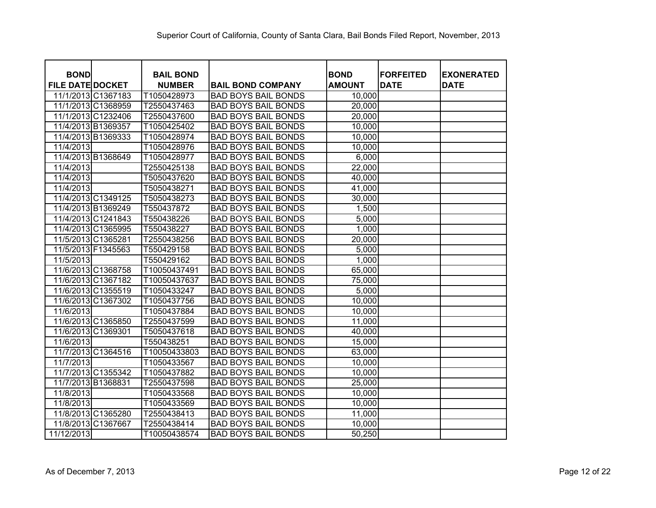| <b>BOND</b>             | <b>BAIL BOND</b> |                            | <b>BOND</b>   | <b>FORFEITED</b> | <b>EXONERATED</b> |
|-------------------------|------------------|----------------------------|---------------|------------------|-------------------|
| <b>FILE DATE DOCKET</b> | <b>NUMBER</b>    | <b>BAIL BOND COMPANY</b>   | <b>AMOUNT</b> | <b>DATE</b>      | <b>DATE</b>       |
| 11/1/2013 C1367183      | T1050428973      | <b>BAD BOYS BAIL BONDS</b> | 10,000        |                  |                   |
| 11/1/2013 C1368959      | T2550437463      | <b>BAD BOYS BAIL BONDS</b> | 20,000        |                  |                   |
| 11/1/2013 C1232406      | T2550437600      | <b>BAD BOYS BAIL BONDS</b> | 20,000        |                  |                   |
| 11/4/2013 B1369357      | T1050425402      | <b>BAD BOYS BAIL BONDS</b> | 10,000        |                  |                   |
| 11/4/2013 B1369333      | T1050428974      | <b>BAD BOYS BAIL BONDS</b> | 10,000        |                  |                   |
| 11/4/2013               | T1050428976      | <b>BAD BOYS BAIL BONDS</b> | 10,000        |                  |                   |
| 11/4/2013 B1368649      | T1050428977      | <b>BAD BOYS BAIL BONDS</b> | 6,000         |                  |                   |
| 11/4/2013               | T2550425138      | <b>BAD BOYS BAIL BONDS</b> | 22,000        |                  |                   |
| 11/4/2013               | T5050437620      | <b>BAD BOYS BAIL BONDS</b> | 40,000        |                  |                   |
| 11/4/2013               | T5050438271      | <b>BAD BOYS BAIL BONDS</b> | 41,000        |                  |                   |
| 11/4/2013 C1349125      | T5050438273      | <b>BAD BOYS BAIL BONDS</b> | 30,000        |                  |                   |
| 11/4/2013 B1369249      | T550437872       | <b>BAD BOYS BAIL BONDS</b> | 1,500         |                  |                   |
| 11/4/2013 C1241843      | T550438226       | <b>BAD BOYS BAIL BONDS</b> | 5,000         |                  |                   |
| 11/4/2013 C1365995      | T550438227       | <b>BAD BOYS BAIL BONDS</b> | 1,000         |                  |                   |
| 11/5/2013 C1365281      | T2550438256      | <b>BAD BOYS BAIL BONDS</b> | 20,000        |                  |                   |
| 11/5/2013 F1345563      | T550429158       | <b>BAD BOYS BAIL BONDS</b> | 5,000         |                  |                   |
| 11/5/2013               | T550429162       | <b>BAD BOYS BAIL BONDS</b> | 1,000         |                  |                   |
| 11/6/2013 C1368758      | T10050437491     | <b>BAD BOYS BAIL BONDS</b> | 65,000        |                  |                   |
| 11/6/2013 C1367182      | T10050437637     | <b>BAD BOYS BAIL BONDS</b> | 75,000        |                  |                   |
| 11/6/2013 C1355519      | T1050433247      | <b>BAD BOYS BAIL BONDS</b> | 5,000         |                  |                   |
| 11/6/2013 C1367302      | T1050437756      | <b>BAD BOYS BAIL BONDS</b> | 10,000        |                  |                   |
| 11/6/2013               | T1050437884      | <b>BAD BOYS BAIL BONDS</b> | 10,000        |                  |                   |
| 11/6/2013 C1365850      | T2550437599      | <b>BAD BOYS BAIL BONDS</b> | 11,000        |                  |                   |
| 11/6/2013 C1369301      | T5050437618      | <b>BAD BOYS BAIL BONDS</b> | 40,000        |                  |                   |
| 11/6/2013               | T550438251       | <b>BAD BOYS BAIL BONDS</b> | 15,000        |                  |                   |
| 11/7/2013 C1364516      | T10050433803     | <b>BAD BOYS BAIL BONDS</b> | 63,000        |                  |                   |
| 11/7/2013               | T1050433567      | <b>BAD BOYS BAIL BONDS</b> | 10,000        |                  |                   |
| 11/7/2013 C1355342      | T1050437882      | <b>BAD BOYS BAIL BONDS</b> | 10,000        |                  |                   |
| 11/7/2013 B1368831      | T2550437598      | <b>BAD BOYS BAIL BONDS</b> | 25,000        |                  |                   |
| 11/8/2013               | T1050433568      | <b>BAD BOYS BAIL BONDS</b> | 10,000        |                  |                   |
| 11/8/2013               | T1050433569      | <b>BAD BOYS BAIL BONDS</b> | 10,000        |                  |                   |
| 11/8/2013 C1365280      | T2550438413      | <b>BAD BOYS BAIL BONDS</b> | 11,000        |                  |                   |
| 11/8/2013 C1367667      | T2550438414      | <b>BAD BOYS BAIL BONDS</b> | 10,000        |                  |                   |
| 11/12/2013              | T10050438574     | <b>BAD BOYS BAIL BONDS</b> | 50,250        |                  |                   |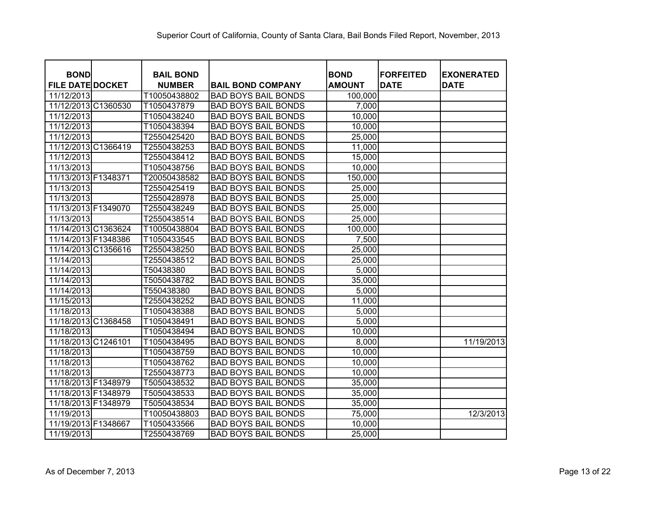| <b>BOND</b>             | <b>BAIL BOND</b> |                            | <b>BOND</b>   | <b>FORFEITED</b> | <b>EXONERATED</b> |
|-------------------------|------------------|----------------------------|---------------|------------------|-------------------|
| <b>FILE DATE DOCKET</b> | <b>NUMBER</b>    | <b>BAIL BOND COMPANY</b>   | <b>AMOUNT</b> | <b>DATE</b>      | <b>DATE</b>       |
| 11/12/2013              | T10050438802     | <b>BAD BOYS BAIL BONDS</b> | 100,000       |                  |                   |
| 11/12/2013 C1360530     | T1050437879      | <b>BAD BOYS BAIL BONDS</b> | 7,000         |                  |                   |
| 11/12/2013              | T1050438240      | <b>BAD BOYS BAIL BONDS</b> | 10,000        |                  |                   |
| 11/12/2013              | T1050438394      | <b>BAD BOYS BAIL BONDS</b> | 10,000        |                  |                   |
| 11/12/2013              | T2550425420      | <b>BAD BOYS BAIL BONDS</b> | 25,000        |                  |                   |
| 11/12/2013 C1366419     | T2550438253      | <b>BAD BOYS BAIL BONDS</b> | 11,000        |                  |                   |
| 11/12/2013              | T2550438412      | <b>BAD BOYS BAIL BONDS</b> | 15,000        |                  |                   |
| 11/13/2013              | T1050438756      | <b>BAD BOYS BAIL BONDS</b> | 10,000        |                  |                   |
| 11/13/2013 F1348371     | T20050438582     | <b>BAD BOYS BAIL BONDS</b> | 150,000       |                  |                   |
| 11/13/2013              | T2550425419      | <b>BAD BOYS BAIL BONDS</b> | 25,000        |                  |                   |
| 11/13/2013              | T2550428978      | <b>BAD BOYS BAIL BONDS</b> | 25,000        |                  |                   |
| 11/13/2013 F1349070     | T2550438249      | <b>BAD BOYS BAIL BONDS</b> | 25,000        |                  |                   |
| 11/13/2013              | T2550438514      | <b>BAD BOYS BAIL BONDS</b> | 25,000        |                  |                   |
| 11/14/2013 C1363624     | T10050438804     | <b>BAD BOYS BAIL BONDS</b> | 100,000       |                  |                   |
| 11/14/2013 F1348386     | T1050433545      | <b>BAD BOYS BAIL BONDS</b> | 7,500         |                  |                   |
| 11/14/2013 C1356616     | T2550438250      | <b>BAD BOYS BAIL BONDS</b> | 25,000        |                  |                   |
| 11/14/2013              | T2550438512      | <b>BAD BOYS BAIL BONDS</b> | 25,000        |                  |                   |
| 11/14/2013              | T50438380        | <b>BAD BOYS BAIL BONDS</b> | 5,000         |                  |                   |
| 11/14/2013              | T5050438782      | <b>BAD BOYS BAIL BONDS</b> | 35,000        |                  |                   |
| 11/14/2013              | T550438380       | <b>BAD BOYS BAIL BONDS</b> | 5,000         |                  |                   |
| 11/15/2013              | T2550438252      | <b>BAD BOYS BAIL BONDS</b> | 11,000        |                  |                   |
| 11/18/2013              | T1050438388      | <b>BAD BOYS BAIL BONDS</b> | 5,000         |                  |                   |
| 11/18/2013 C1368458     | T1050438491      | <b>BAD BOYS BAIL BONDS</b> | 5,000         |                  |                   |
| 11/18/2013              | T1050438494      | <b>BAD BOYS BAIL BONDS</b> | 10,000        |                  |                   |
| 11/18/2013 C1246101     | T1050438495      | <b>BAD BOYS BAIL BONDS</b> | 8,000         |                  | 11/19/2013        |
| 11/18/2013              | T1050438759      | <b>BAD BOYS BAIL BONDS</b> | 10,000        |                  |                   |
| 11/18/2013              | T1050438762      | <b>BAD BOYS BAIL BONDS</b> | 10,000        |                  |                   |
| 11/18/2013              | T2550438773      | <b>BAD BOYS BAIL BONDS</b> | 10,000        |                  |                   |
| 11/18/2013 F1348979     | T5050438532      | <b>BAD BOYS BAIL BONDS</b> | 35,000        |                  |                   |
| 11/18/2013 F1348979     | T5050438533      | <b>BAD BOYS BAIL BONDS</b> | 35,000        |                  |                   |
| 11/18/2013 F1348979     | T5050438534      | <b>BAD BOYS BAIL BONDS</b> | 35,000        |                  |                   |
| 11/19/2013              | T10050438803     | <b>BAD BOYS BAIL BONDS</b> | 75,000        |                  | 12/3/2013         |
| 11/19/2013 F1348667     | T1050433566      | <b>BAD BOYS BAIL BONDS</b> | 10,000        |                  |                   |
| 11/19/2013              | T2550438769      | <b>BAD BOYS BAIL BONDS</b> | 25,000        |                  |                   |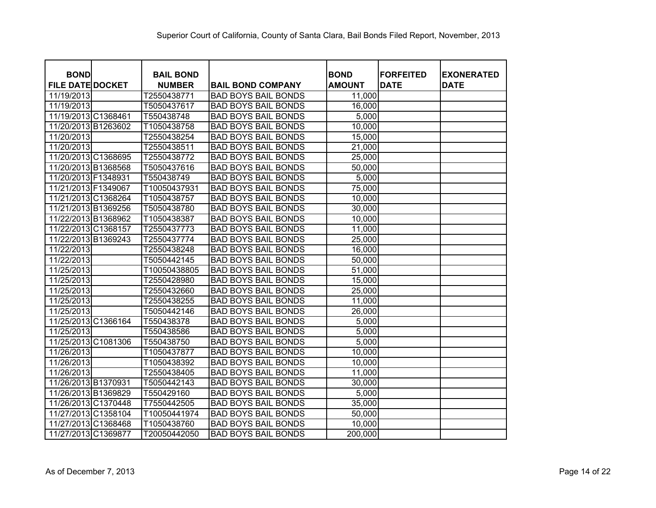| <b>BOND</b>             | <b>BAIL BOND</b> |                            | <b>BOND</b>   | <b>FORFEITED</b> | <b>EXONERATED</b> |
|-------------------------|------------------|----------------------------|---------------|------------------|-------------------|
| <b>FILE DATE DOCKET</b> | <b>NUMBER</b>    | <b>BAIL BOND COMPANY</b>   | <b>AMOUNT</b> | <b>DATE</b>      | <b>DATE</b>       |
| 11/19/2013              | T2550438771      | <b>BAD BOYS BAIL BONDS</b> | 11,000        |                  |                   |
| 11/19/2013              | T5050437617      | <b>BAD BOYS BAIL BONDS</b> | 16,000        |                  |                   |
| 11/19/2013 C1368461     | T550438748       | <b>BAD BOYS BAIL BONDS</b> | 5,000         |                  |                   |
| 11/20/2013 B1263602     | T1050438758      | <b>BAD BOYS BAIL BONDS</b> | 10,000        |                  |                   |
| 11/20/2013              | T2550438254      | <b>BAD BOYS BAIL BONDS</b> | 15,000        |                  |                   |
| 11/20/2013              | T2550438511      | <b>BAD BOYS BAIL BONDS</b> | 21,000        |                  |                   |
| 11/20/2013 C1368695     | T2550438772      | <b>BAD BOYS BAIL BONDS</b> | 25,000        |                  |                   |
| 11/20/2013 B1368568     | T5050437616      | <b>BAD BOYS BAIL BONDS</b> | 50,000        |                  |                   |
| 11/20/2013 F1348931     | T550438749       | <b>BAD BOYS BAIL BONDS</b> | 5,000         |                  |                   |
| 11/21/2013 F1349067     | T10050437931     | <b>BAD BOYS BAIL BONDS</b> | 75,000        |                  |                   |
| 11/21/2013 C1368264     | T1050438757      | <b>BAD BOYS BAIL BONDS</b> | 10,000        |                  |                   |
| 11/21/2013 B1369256     | T5050438780      | <b>BAD BOYS BAIL BONDS</b> | 30,000        |                  |                   |
| 11/22/2013 B1368962     | T1050438387      | <b>BAD BOYS BAIL BONDS</b> | 10,000        |                  |                   |
| 11/22/2013 C1368157     | T2550437773      | <b>BAD BOYS BAIL BONDS</b> | 11,000        |                  |                   |
| 11/22/2013 B1369243     | T2550437774      | <b>BAD BOYS BAIL BONDS</b> | 25,000        |                  |                   |
| 11/22/2013              | T2550438248      | <b>BAD BOYS BAIL BONDS</b> | 16,000        |                  |                   |
| 11/22/2013              | T5050442145      | <b>BAD BOYS BAIL BONDS</b> | 50,000        |                  |                   |
| 11/25/2013              | T10050438805     | <b>BAD BOYS BAIL BONDS</b> | 51,000        |                  |                   |
| 11/25/2013              | T2550428980      | <b>BAD BOYS BAIL BONDS</b> | 15,000        |                  |                   |
| 11/25/2013              | T2550432660      | <b>BAD BOYS BAIL BONDS</b> | 25,000        |                  |                   |
| 11/25/2013              | T2550438255      | <b>BAD BOYS BAIL BONDS</b> | 11,000        |                  |                   |
| 11/25/2013              | T5050442146      | <b>BAD BOYS BAIL BONDS</b> | 26,000        |                  |                   |
| 11/25/2013 C1366164     | T550438378       | <b>BAD BOYS BAIL BONDS</b> | 5,000         |                  |                   |
| 11/25/2013              | T550438586       | <b>BAD BOYS BAIL BONDS</b> | 5,000         |                  |                   |
| 11/25/2013 C1081306     | T550438750       | <b>BAD BOYS BAIL BONDS</b> | 5,000         |                  |                   |
| 11/26/2013              | T1050437877      | <b>BAD BOYS BAIL BONDS</b> | 10,000        |                  |                   |
| 11/26/2013              | T1050438392      | <b>BAD BOYS BAIL BONDS</b> | 10,000        |                  |                   |
| 11/26/2013              | T2550438405      | <b>BAD BOYS BAIL BONDS</b> | 11,000        |                  |                   |
| 11/26/2013 B1370931     | T5050442143      | <b>BAD BOYS BAIL BONDS</b> | 30,000        |                  |                   |
| 11/26/2013 B1369829     | T550429160       | <b>BAD BOYS BAIL BONDS</b> | 5,000         |                  |                   |
| 11/26/2013 C1370448     | T7550442505      | <b>BAD BOYS BAIL BONDS</b> | 35,000        |                  |                   |
| 11/27/2013 C1358104     | T10050441974     | <b>BAD BOYS BAIL BONDS</b> | 50,000        |                  |                   |
| 11/27/2013 C1368468     | T1050438760      | <b>BAD BOYS BAIL BONDS</b> | 10,000        |                  |                   |
| 11/27/2013 C1369877     | T20050442050     | <b>BAD BOYS BAIL BONDS</b> | 200,000       |                  |                   |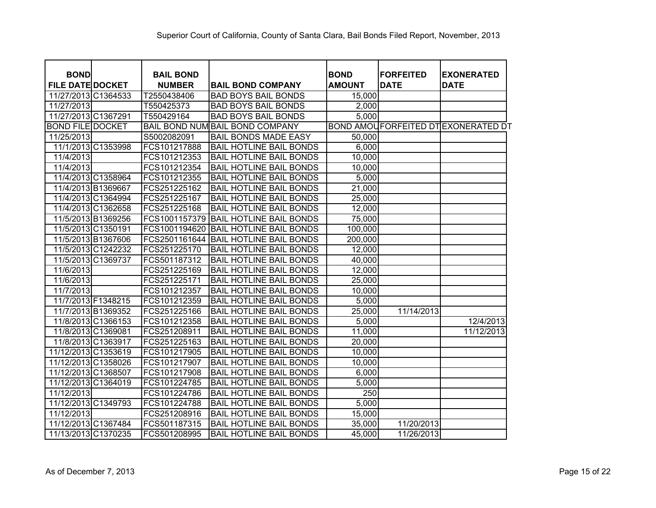| <b>BOND</b>             | <b>BAIL BOND</b> |                                        | <b>BOND</b>        | <b>FORFEITED</b> | <b>EXONERATED</b>                         |
|-------------------------|------------------|----------------------------------------|--------------------|------------------|-------------------------------------------|
| <b>FILE DATE DOCKET</b> | <b>NUMBER</b>    | <b>BAIL BOND COMPANY</b>               | <b>AMOUNT</b>      | <b>DATE</b>      | <b>DATE</b>                               |
| 11/27/2013 C1364533     | T2550438406      | <b>BAD BOYS BAIL BONDS</b>             | 15,000             |                  |                                           |
| 11/27/2013              | T550425373       | <b>BAD BOYS BAIL BONDS</b>             | 2,000              |                  |                                           |
| 11/27/2013 C1367291     | T550429164       | <b>BAD BOYS BAIL BONDS</b>             | 5,000              |                  |                                           |
| <b>BOND FILE DOCKET</b> |                  | <b>BAIL BOND NUM BAIL BOND COMPANY</b> |                    |                  | <b>BOND AMOUFORFEITED DTEXONERATED DT</b> |
| 11/25/2013              | S5002082091      | <b>BAIL BONDS MADE EASY</b>            | 50,000             |                  |                                           |
| 11/1/2013 C1353998      | FCS101217888     | <b>BAIL HOTLINE BAIL BONDS</b>         | 6,000              |                  |                                           |
| 11/4/2013               | FCS101212353     | <b>BAIL HOTLINE BAIL BONDS</b>         | 10,000             |                  |                                           |
| 11/4/2013               | FCS101212354     | <b>BAIL HOTLINE BAIL BONDS</b>         | 10,000             |                  |                                           |
| 11/4/2013 C1358964      | FCS101212355     | <b>BAIL HOTLINE BAIL BONDS</b>         | 5,000              |                  |                                           |
| 11/4/2013 B1369667      | FCS251225162     | <b>BAIL HOTLINE BAIL BONDS</b>         | 21,000             |                  |                                           |
| 11/4/2013 C1364994      | FCS251225167     | <b>BAIL HOTLINE BAIL BONDS</b>         | 25,000             |                  |                                           |
| 11/4/2013 C1362658      | FCS251225168     | <b>BAIL HOTLINE BAIL BONDS</b>         | 12,000             |                  |                                           |
| 11/5/2013 B1369256      | FCS1001157379    | <b>BAIL HOTLINE BAIL BONDS</b>         | 75,000             |                  |                                           |
| 11/5/2013 C1350191      | FCS1001194620    | <b>BAIL HOTLINE BAIL BONDS</b>         | 100,000            |                  |                                           |
| 11/5/2013 B1367606      | FCS2501161644    | <b>BAIL HOTLINE BAIL BONDS</b>         | 200,000            |                  |                                           |
| 11/5/2013 C1242232      | FCS251225170     | <b>BAIL HOTLINE BAIL BONDS</b>         | 12,000             |                  |                                           |
| 11/5/2013 C1369737      | FCS501187312     | <b>BAIL HOTLINE BAIL BONDS</b>         | 40,000             |                  |                                           |
| 11/6/2013               | FCS251225169     | <b>BAIL HOTLINE BAIL BONDS</b>         | 12,000             |                  |                                           |
| 11/6/2013               | FCS251225171     | <b>BAIL HOTLINE BAIL BONDS</b>         | 25,000             |                  |                                           |
| 11/7/2013               | FCS101212357     | <b>BAIL HOTLINE BAIL BONDS</b>         | 10,000             |                  |                                           |
| 11/7/2013 F1348215      | FCS101212359     | <b>BAIL HOTLINE BAIL BONDS</b>         | 5,000              |                  |                                           |
| 11/7/2013 B1369352      | FCS251225166     | <b>BAIL HOTLINE BAIL BONDS</b>         | 25,000             | 11/14/2013       |                                           |
| 11/8/2013 C1366153      | FCS101212358     | <b>BAIL HOTLINE BAIL BONDS</b>         | 5,000              |                  | 12/4/2013                                 |
| 11/8/2013 C1369081      | FCS251208911     | <b>BAIL HOTLINE BAIL BONDS</b>         | 11,000             |                  | 11/12/2013                                |
| 11/8/2013 C1363917      | FCS251225163     | <b>BAIL HOTLINE BAIL BONDS</b>         | 20,000             |                  |                                           |
| 11/12/2013 C1353619     | FCS101217905     | <b>BAIL HOTLINE BAIL BONDS</b>         | 10,000             |                  |                                           |
| 11/12/2013 C1358026     | FCS101217907     | <b>BAIL HOTLINE BAIL BONDS</b>         | 10,000             |                  |                                           |
| 11/12/2013 C1368507     | FCS101217908     | <b>BAIL HOTLINE BAIL BONDS</b>         | 6,000              |                  |                                           |
| 11/12/2013 C1364019     | FCS101224785     | <b>BAIL HOTLINE BAIL BONDS</b>         | 5,000              |                  |                                           |
| 11/12/2013              | FCS101224786     | <b>BAIL HOTLINE BAIL BONDS</b>         | 250                |                  |                                           |
| 11/12/2013 C1349793     | FCS101224788     | <b>BAIL HOTLINE BAIL BONDS</b>         | $\overline{5,000}$ |                  |                                           |
| 11/12/2013              | FCS251208916     | <b>BAIL HOTLINE BAIL BONDS</b>         | 15,000             |                  |                                           |
| 11/12/2013 C1367484     | FCS501187315     | <b>BAIL HOTLINE BAIL BONDS</b>         | 35,000             | 11/20/2013       |                                           |
| 11/13/2013 C1370235     | FCS501208995     | <b>BAIL HOTLINE BAIL BONDS</b>         | 45,000             | 11/26/2013       |                                           |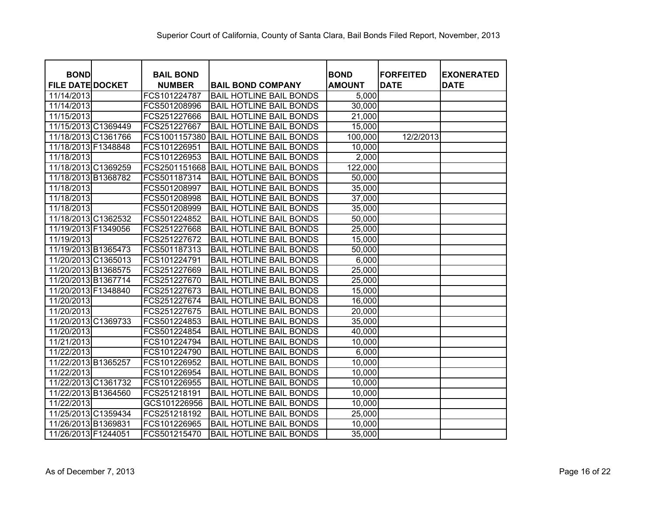| <b>BOND</b><br><b>FILE DATE DOCKET</b> | <b>BAIL BOND</b><br><b>NUMBER</b> | <b>BAIL BOND COMPANY</b>       | <b>BOND</b><br><b>AMOUNT</b> | <b>FORFEITED</b><br><b>DATE</b> | <b>EXONERATED</b><br><b>DATE</b> |
|----------------------------------------|-----------------------------------|--------------------------------|------------------------------|---------------------------------|----------------------------------|
| 11/14/2013                             | FCS101224787                      | <b>BAIL HOTLINE BAIL BONDS</b> | 5,000                        |                                 |                                  |
| 11/14/2013                             | FCS501208996                      | <b>BAIL HOTLINE BAIL BONDS</b> | 30,000                       |                                 |                                  |
| 11/15/2013                             | FCS251227666                      | <b>BAIL HOTLINE BAIL BONDS</b> | 21,000                       |                                 |                                  |
| 11/15/2013 C1369449                    | FCS251227667                      | <b>BAIL HOTLINE BAIL BONDS</b> | 15,000                       |                                 |                                  |
| 11/18/2013 C1361766                    | FCS1001157380                     | <b>BAIL HOTLINE BAIL BONDS</b> | 100,000                      | 12/2/2013                       |                                  |
| 11/18/2013 F1348848                    | FCS101226951                      | <b>BAIL HOTLINE BAIL BONDS</b> | 10,000                       |                                 |                                  |
| 11/18/2013                             | FCS101226953                      | <b>BAIL HOTLINE BAIL BONDS</b> | 2,000                        |                                 |                                  |
| 11/18/2013 C1369259                    | FCS2501151668                     | <b>BAIL HOTLINE BAIL BONDS</b> | 122,000                      |                                 |                                  |
| 11/18/2013 B1368782                    | FCS501187314                      | <b>BAIL HOTLINE BAIL BONDS</b> | 50,000                       |                                 |                                  |
| 11/18/2013                             | FCS501208997                      | <b>BAIL HOTLINE BAIL BONDS</b> | 35,000                       |                                 |                                  |
| 11/18/2013                             | FCS501208998                      | <b>BAIL HOTLINE BAIL BONDS</b> | 37,000                       |                                 |                                  |
| 11/18/2013                             | FCS501208999                      | <b>BAIL HOTLINE BAIL BONDS</b> | 35,000                       |                                 |                                  |
| 11/18/2013 C1362532                    | FCS501224852                      | <b>BAIL HOTLINE BAIL BONDS</b> | 50,000                       |                                 |                                  |
| 11/19/2013 F1349056                    | FCS251227668                      | <b>BAIL HOTLINE BAIL BONDS</b> | 25,000                       |                                 |                                  |
| 11/19/2013                             | FCS251227672                      | <b>BAIL HOTLINE BAIL BONDS</b> | 15,000                       |                                 |                                  |
| 11/19/2013 B1365473                    | FCS501187313                      | <b>BAIL HOTLINE BAIL BONDS</b> | 50,000                       |                                 |                                  |
| 11/20/2013 C1365013                    | FCS101224791                      | <b>BAIL HOTLINE BAIL BONDS</b> | 6,000                        |                                 |                                  |
| 11/20/2013 B1368575                    | FCS251227669                      | <b>BAIL HOTLINE BAIL BONDS</b> | 25,000                       |                                 |                                  |
| 11/20/2013 B1367714                    | FCS251227670                      | <b>BAIL HOTLINE BAIL BONDS</b> | 25,000                       |                                 |                                  |
| 11/20/2013 F1348840                    | FCS251227673                      | <b>BAIL HOTLINE BAIL BONDS</b> | 15,000                       |                                 |                                  |
| 11/20/2013                             | FCS251227674                      | <b>BAIL HOTLINE BAIL BONDS</b> | 16,000                       |                                 |                                  |
| 11/20/2013                             | FCS251227675                      | <b>BAIL HOTLINE BAIL BONDS</b> | 20,000                       |                                 |                                  |
| 11/20/2013 C1369733                    | FCS501224853                      | <b>BAIL HOTLINE BAIL BONDS</b> | 35,000                       |                                 |                                  |
| 11/20/2013                             | FCS501224854                      | <b>BAIL HOTLINE BAIL BONDS</b> | 40,000                       |                                 |                                  |
| 11/21/2013                             | FCS101224794                      | <b>BAIL HOTLINE BAIL BONDS</b> | 10,000                       |                                 |                                  |
| 11/22/2013                             | FCS101224790                      | <b>BAIL HOTLINE BAIL BONDS</b> | 6,000                        |                                 |                                  |
| 11/22/2013 B1365257                    | FCS101226952                      | <b>BAIL HOTLINE BAIL BONDS</b> | 10,000                       |                                 |                                  |
| 11/22/2013                             | FCS101226954                      | <b>BAIL HOTLINE BAIL BONDS</b> | 10,000                       |                                 |                                  |
| 11/22/2013 C1361732                    | FCS101226955                      | <b>BAIL HOTLINE BAIL BONDS</b> | 10,000                       |                                 |                                  |
| 11/22/2013 B1364560                    | FCS251218191                      | <b>BAIL HOTLINE BAIL BONDS</b> | 10,000                       |                                 |                                  |
| 11/22/2013                             | GCS101226956                      | <b>BAIL HOTLINE BAIL BONDS</b> | 10,000                       |                                 |                                  |
| 11/25/2013 C1359434                    | FCS251218192                      | <b>BAIL HOTLINE BAIL BONDS</b> | 25,000                       |                                 |                                  |
| 11/26/2013 B1369831                    | FCS101226965                      | <b>BAIL HOTLINE BAIL BONDS</b> | 10,000                       |                                 |                                  |
| 11/26/2013 F1244051                    | FCS501215470                      | <b>BAIL HOTLINE BAIL BONDS</b> | 35,000                       |                                 |                                  |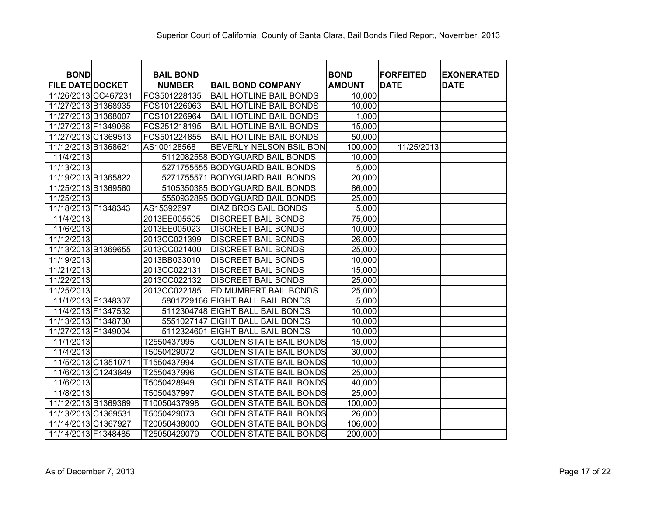| <b>BOND</b>             | <b>BAIL BOND</b> |                                  | <b>BOND</b>   | <b>FORFEITED</b> | <b>EXONERATED</b> |
|-------------------------|------------------|----------------------------------|---------------|------------------|-------------------|
| <b>FILE DATE DOCKET</b> | <b>NUMBER</b>    | <b>BAIL BOND COMPANY</b>         | <b>AMOUNT</b> | <b>DATE</b>      | <b>DATE</b>       |
| 11/26/2013 CC467231     | FCS501228135     | <b>BAIL HOTLINE BAIL BONDS</b>   | 10,000        |                  |                   |
| 11/27/2013 B1368935     | FCS101226963     | <b>BAIL HOTLINE BAIL BONDS</b>   | 10,000        |                  |                   |
| 11/27/2013 B1368007     | FCS101226964     | <b>BAIL HOTLINE BAIL BONDS</b>   | 1,000         |                  |                   |
| 11/27/2013 F1349068     | FCS251218195     | <b>BAIL HOTLINE BAIL BONDS</b>   | 15,000        |                  |                   |
| 11/27/2013 C1369513     | FCS501224855     | <b>BAIL HOTLINE BAIL BONDS</b>   | 50,000        |                  |                   |
| 11/12/2013 B1368621     | AS100128568      | BEVERLY NELSON BSIL BON          | 100,000       | 11/25/2013       |                   |
| 11/4/2013               |                  | 5112082558 BODYGUARD BAIL BONDS  | 10,000        |                  |                   |
| 11/13/2013              |                  | 5271755555 BODYGUARD BAIL BONDS  | 5,000         |                  |                   |
| 11/19/2013 B1365822     |                  | 5271755571 BODYGUARD BAIL BONDS  | 20,000        |                  |                   |
| 11/25/2013 B1369560     |                  | 5105350385 BODYGUARD BAIL BONDS  | 86,000        |                  |                   |
| 11/25/2013              |                  | 5550932895 BODYGUARD BAIL BONDS  | 25,000        |                  |                   |
| 11/18/2013 F1348343     | AS15392697       | <b>DIAZ BROS BAIL BONDS</b>      | 5,000         |                  |                   |
| 11/4/2013               | 2013EE005505     | <b>DISCREET BAIL BONDS</b>       | 75,000        |                  |                   |
| 11/6/2013               | 2013EE005023     | <b>DISCREET BAIL BONDS</b>       | 10,000        |                  |                   |
| 11/12/2013              | 2013CC021399     | <b>DISCREET BAIL BONDS</b>       | 26,000        |                  |                   |
| 11/13/2013 B1369655     | 2013CC021400     | <b>DISCREET BAIL BONDS</b>       | 25,000        |                  |                   |
| 11/19/2013              | 2013BB033010     | <b>DISCREET BAIL BONDS</b>       | 10,000        |                  |                   |
| 11/21/2013              | 2013CC022131     | <b>DISCREET BAIL BONDS</b>       | 15,000        |                  |                   |
| 11/22/2013              | 2013CC022132     | <b>DISCREET BAIL BONDS</b>       | 25,000        |                  |                   |
| 11/25/2013              | 2013CC022185     | ED MUMBERT BAIL BONDS            | 25,000        |                  |                   |
| 11/1/2013 F1348307      |                  | 5801729166 EIGHT BALL BAIL BONDS | 5,000         |                  |                   |
| 11/4/2013 F1347532      |                  | 5112304748 EIGHT BALL BAIL BONDS | 10,000        |                  |                   |
| 11/13/2013 F1348730     |                  | 5551027147 EIGHT BALL BAIL BONDS | 10,000        |                  |                   |
| 11/27/2013 F1349004     | 5112324601       | <b>EIGHT BALL BAIL BONDS</b>     | 10,000        |                  |                   |
| 11/1/2013               | T2550437995      | <b>GOLDEN STATE BAIL BONDS</b>   | 15,000        |                  |                   |
| 11/4/2013               | T5050429072      | <b>GOLDEN STATE BAIL BONDS</b>   | 30,000        |                  |                   |
| 11/5/2013 C1351071      | T1550437994      | <b>GOLDEN STATE BAIL BONDS</b>   | 10,000        |                  |                   |
| 11/6/2013 C1243849      | T2550437996      | <b>GOLDEN STATE BAIL BONDS</b>   | 25,000        |                  |                   |
| 11/6/2013               | T5050428949      | <b>GOLDEN STATE BAIL BONDS</b>   | 40,000        |                  |                   |
| 11/8/2013               | T5050437997      | <b>GOLDEN STATE BAIL BONDS</b>   | 25,000        |                  |                   |
| 11/12/2013 B1369369     | T10050437998     | <b>GOLDEN STATE BAIL BONDS</b>   | 100,000       |                  |                   |
| 11/13/2013 C1369531     | T5050429073      | <b>GOLDEN STATE BAIL BONDS</b>   | 26,000        |                  |                   |
| 11/14/2013 C1367927     | T20050438000     | <b>GOLDEN STATE BAIL BONDS</b>   | 106,000       |                  |                   |
| 11/14/2013 F1348485     | T25050429079     | <b>GOLDEN STATE BAIL BONDS</b>   | 200,000       |                  |                   |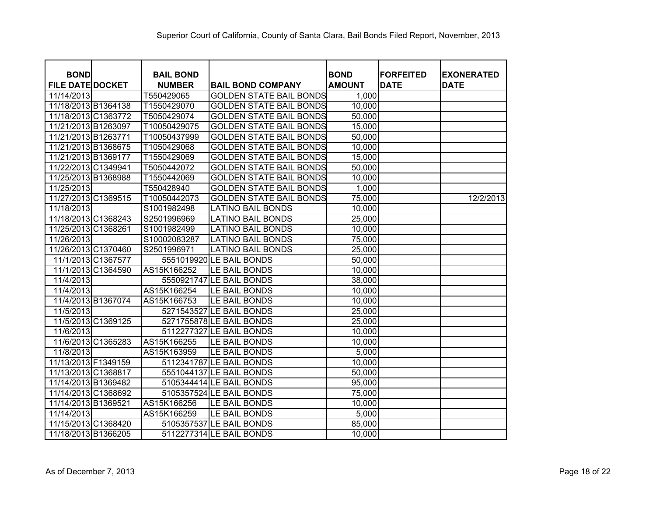|                                        |                                   |                                | <b>BOND</b>   | <b>IFORFEITED</b> |                                  |
|----------------------------------------|-----------------------------------|--------------------------------|---------------|-------------------|----------------------------------|
| <b>BOND</b><br><b>FILE DATE DOCKET</b> | <b>BAIL BOND</b><br><b>NUMBER</b> | <b>BAIL BOND COMPANY</b>       | <b>AMOUNT</b> | <b>DATE</b>       | <b>EXONERATED</b><br><b>DATE</b> |
| 11/14/2013                             | T550429065                        | <b>GOLDEN STATE BAIL BONDS</b> | 1,000         |                   |                                  |
| 11/18/2013 B1364138                    | T1550429070                       | <b>GOLDEN STATE BAIL BONDS</b> | 10,000        |                   |                                  |
| 11/18/2013 C1363772                    | T5050429074                       | <b>GOLDEN STATE BAIL BONDS</b> | 50,000        |                   |                                  |
| 11/21/2013 B1263097                    | T10050429075                      | <b>GOLDEN STATE BAIL BONDS</b> | 15,000        |                   |                                  |
| 11/21/2013 B1263771                    | T10050437999                      | <b>GOLDEN STATE BAIL BONDS</b> | 50,000        |                   |                                  |
| 11/21/2013 B1368675                    | T1050429068                       | <b>GOLDEN STATE BAIL BONDS</b> | 10,000        |                   |                                  |
| 11/21/2013 B1369177                    | T1550429069                       | <b>GOLDEN STATE BAIL BONDS</b> | 15,000        |                   |                                  |
| 11/22/2013 C1349941                    | T5050442072                       | <b>GOLDEN STATE BAIL BONDS</b> | 50,000        |                   |                                  |
| 11/25/2013 B1368988                    | T1550442069                       | <b>GOLDEN STATE BAIL BONDS</b> | 10,000        |                   |                                  |
| 11/25/2013                             | T550428940                        | <b>GOLDEN STATE BAIL BONDS</b> | 1,000         |                   |                                  |
| 11/27/2013 C1369515                    | T10050442073                      | <b>GOLDEN STATE BAIL BONDS</b> | 75,000        |                   | 12/2/2013                        |
| 11/18/2013                             | S1001982498                       | <b>LATINO BAIL BONDS</b>       | 10,000        |                   |                                  |
| 11/18/2013 C1368243                    | S2501996969                       | <b>LATINO BAIL BONDS</b>       | 25,000        |                   |                                  |
| 11/25/2013 C1368261                    | S1001982499                       | <b>LATINO BAIL BONDS</b>       | 10,000        |                   |                                  |
| 11/26/2013                             | S10002083287                      | <b>LATINO BAIL BONDS</b>       | 75,000        |                   |                                  |
| 11/26/2013 C1370460                    | S2501996971                       | <b>LATINO BAIL BONDS</b>       | 25,000        |                   |                                  |
| 11/1/2013 C1367577                     |                                   | 5551019920 LE BAIL BONDS       | 50,000        |                   |                                  |
| 11/1/2013 C1364590                     | AS15K166252                       | LE BAIL BONDS                  | 10,000        |                   |                                  |
| 11/4/2013                              |                                   | 5550921747 LE BAIL BONDS       | 38,000        |                   |                                  |
| 11/4/2013                              | AS15K166254                       | LE BAIL BONDS                  | 10,000        |                   |                                  |
| 11/4/2013 B1367074                     | AS15K166753                       | LE BAIL BONDS                  | 10,000        |                   |                                  |
| 11/5/2013                              |                                   | 5271543527 LE BAIL BONDS       | 25,000        |                   |                                  |
| 11/5/2013 C1369125                     |                                   | 5271755878 LE BAIL BONDS       | 25,000        |                   |                                  |
| 11/6/2013                              |                                   | 5112277327 LE BAIL BONDS       | 10,000        |                   |                                  |
| 11/6/2013 C1365283                     | AS15K166255                       | LE BAIL BONDS                  | 10,000        |                   |                                  |
| 11/8/2013                              | AS15K163959                       | LE BAIL BONDS                  | 5,000         |                   |                                  |
| 11/13/2013 F1349159                    |                                   | 5112341787 LE BAIL BONDS       | 10,000        |                   |                                  |
| 11/13/2013 C1368817                    |                                   | 5551044137 LE BAIL BONDS       | 50,000        |                   |                                  |
| 11/14/2013 B1369482                    |                                   | 5105344414 LE BAIL BONDS       | 95,000        |                   |                                  |
| 11/14/2013 C1368692                    |                                   | 5105357524 LE BAIL BONDS       | 75,000        |                   |                                  |
| 11/14/2013 B1369521                    | AS15K166256                       | LE BAIL BONDS                  | 10,000        |                   |                                  |
| 11/14/2013                             | AS15K166259                       | LE BAIL BONDS                  | 5,000         |                   |                                  |
| 11/15/2013 C1368420                    |                                   | 5105357537 LE BAIL BONDS       | 85,000        |                   |                                  |
| 11/18/2013 B1366205                    |                                   | 5112277314 LE BAIL BONDS       | 10,000        |                   |                                  |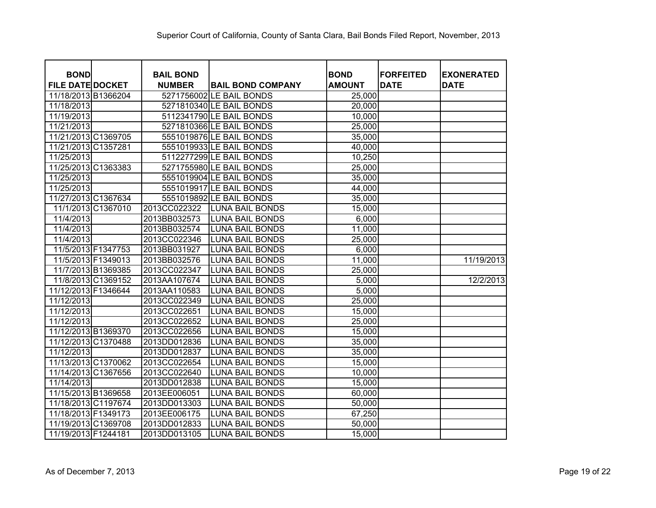| <b>BOND</b>             | <b>BAIL BOND</b> |                          | <b>BOND</b>   | <b>FORFEITED</b> | <b>EXONERATED</b> |
|-------------------------|------------------|--------------------------|---------------|------------------|-------------------|
| <b>FILE DATE DOCKET</b> | <b>NUMBER</b>    | <b>BAIL BOND COMPANY</b> | <b>AMOUNT</b> | <b>DATE</b>      | <b>DATE</b>       |
| 11/18/2013 B1366204     |                  | 5271756002 LE BAIL BONDS | 25,000        |                  |                   |
| 11/18/2013              |                  | 5271810340 LE BAIL BONDS | 20,000        |                  |                   |
| 11/19/2013              |                  | 5112341790 LE BAIL BONDS | 10,000        |                  |                   |
| 11/21/2013              |                  | 5271810366 LE BAIL BONDS | 25,000        |                  |                   |
| 11/21/2013 C1369705     |                  | 5551019876 LE BAIL BONDS | 35,000        |                  |                   |
| 11/21/2013 C1357281     |                  | 5551019933 LE BAIL BONDS | 40,000        |                  |                   |
| 11/25/2013              |                  | 5112277299 LE BAIL BONDS | 10,250        |                  |                   |
| 11/25/2013 C1363383     |                  | 5271755980 LE BAIL BONDS | 25,000        |                  |                   |
| 11/25/2013              |                  | 5551019904 LE BAIL BONDS | 35,000        |                  |                   |
| 11/25/2013              |                  | 5551019917 LE BAIL BONDS | 44,000        |                  |                   |
| 11/27/2013 C1367634     |                  | 5551019892 LE BAIL BONDS | 35,000        |                  |                   |
| 11/1/2013 C1367010      | 2013CC022322     | <b>LUNA BAIL BONDS</b>   | 15,000        |                  |                   |
| 11/4/2013               | 2013BB032573     | <b>LUNA BAIL BONDS</b>   | 6,000         |                  |                   |
| 11/4/2013               | 2013BB032574     | <b>LUNA BAIL BONDS</b>   | 11,000        |                  |                   |
| 11/4/2013               | 2013CC022346     | <b>LUNA BAIL BONDS</b>   | 25,000        |                  |                   |
| 11/5/2013 F1347753      | 2013BB031927     | <b>LUNA BAIL BONDS</b>   | 6,000         |                  |                   |
| 11/5/2013 F1349013      | 2013BB032576     | <b>LUNA BAIL BONDS</b>   | 11,000        |                  | 11/19/2013        |
| 11/7/2013 B1369385      | 2013CC022347     | <b>LUNA BAIL BONDS</b>   | 25,000        |                  |                   |
| 11/8/2013 C1369152      | 2013AA107674     | <b>LUNA BAIL BONDS</b>   | 5,000         |                  | 12/2/2013         |
| 11/12/2013 F1346644     | 2013AA110583     | <b>LUNA BAIL BONDS</b>   | 5,000         |                  |                   |
| 11/12/2013              | 2013CC022349     | <b>LUNA BAIL BONDS</b>   | 25,000        |                  |                   |
| 11/12/2013              | 2013CC022651     | <b>LUNA BAIL BONDS</b>   | 15,000        |                  |                   |
| 11/12/2013              | 2013CC022652     | <b>LUNA BAIL BONDS</b>   | 25,000        |                  |                   |
| 11/12/2013 B1369370     | 2013CC022656     | <b>LUNA BAIL BONDS</b>   | 15,000        |                  |                   |
| 11/12/2013 C1370488     | 2013DD012836     | LUNA BAIL BONDS          | 35,000        |                  |                   |
| 11/12/2013              | 2013DD012837     | <b>LUNA BAIL BONDS</b>   | 35,000        |                  |                   |
| 11/13/2013 C1370062     | 2013CC022654     | <b>LUNA BAIL BONDS</b>   | 15,000        |                  |                   |
| 11/14/2013 C1367656     | 2013CC022640     | <b>LUNA BAIL BONDS</b>   | 10,000        |                  |                   |
| 11/14/2013              | 2013DD012838     | <b>LUNA BAIL BONDS</b>   | 15,000        |                  |                   |
| 11/15/2013 B1369658     | 2013EE006051     | <b>LUNA BAIL BONDS</b>   | 60,000        |                  |                   |
| 11/18/2013 C1197674     | 2013DD013303     | <b>LUNA BAIL BONDS</b>   | 50,000        |                  |                   |
| 11/18/2013 F1349173     | 2013EE006175     | <b>LUNA BAIL BONDS</b>   | 67,250        |                  |                   |
| 11/19/2013 C1369708     | 2013DD012833     | <b>LUNA BAIL BONDS</b>   | 50,000        |                  |                   |
| 11/19/2013 F1244181     | 2013DD013105     | <b>LUNA BAIL BONDS</b>   | 15,000        |                  |                   |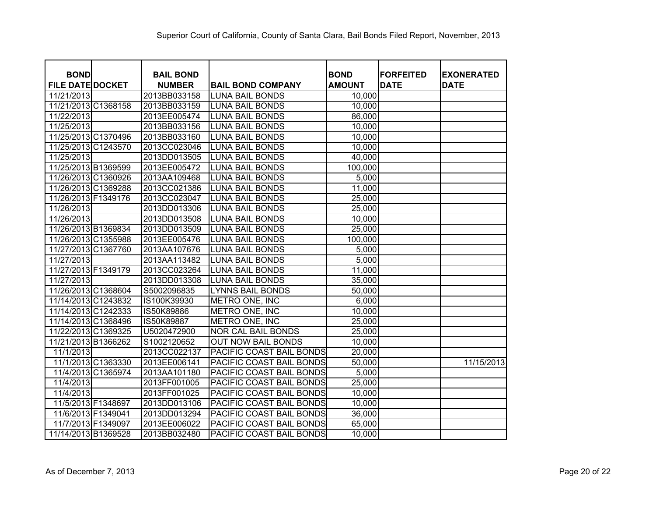| <b>BOND</b>             | <b>BAIL BOND</b> |                           | <b>BOND</b>   | <b>FORFEITED</b> | <b>EXONERATED</b> |
|-------------------------|------------------|---------------------------|---------------|------------------|-------------------|
| <b>FILE DATE DOCKET</b> | <b>NUMBER</b>    | <b>BAIL BOND COMPANY</b>  | <b>AMOUNT</b> | <b>DATE</b>      | <b>DATE</b>       |
| 11/21/2013              | 2013BB033158     | <b>LUNA BAIL BONDS</b>    | 10,000        |                  |                   |
| 11/21/2013 C1368158     | 2013BB033159     | <b>LUNA BAIL BONDS</b>    | 10,000        |                  |                   |
| 11/22/2013              | 2013EE005474     | <b>LUNA BAIL BONDS</b>    | 86,000        |                  |                   |
| 11/25/2013              | 2013BB033156     | <b>LUNA BAIL BONDS</b>    | 10,000        |                  |                   |
| 11/25/2013 C1370496     | 2013BB033160     | <b>LUNA BAIL BONDS</b>    | 10,000        |                  |                   |
| 11/25/2013 C1243570     | 2013CC023046     | <b>LUNA BAIL BONDS</b>    | 10,000        |                  |                   |
| 11/25/2013              | 2013DD013505     | <b>LUNA BAIL BONDS</b>    | 40,000        |                  |                   |
| 11/25/2013 B1369599     | 2013EE005472     | LUNA BAIL BONDS           | 100,000       |                  |                   |
| 11/26/2013 C1360926     | 2013AA109468     | <b>LUNA BAIL BONDS</b>    | 5,000         |                  |                   |
| 11/26/2013 C1369288     | 2013CC021386     | <b>LUNA BAIL BONDS</b>    | 11,000        |                  |                   |
| 11/26/2013 F1349176     | 2013CC023047     | <b>LUNA BAIL BONDS</b>    | 25,000        |                  |                   |
| 11/26/2013              | 2013DD013306     | <b>LUNA BAIL BONDS</b>    | 25,000        |                  |                   |
| 11/26/2013              | 2013DD013508     | <b>LUNA BAIL BONDS</b>    | 10,000        |                  |                   |
| 11/26/2013 B1369834     | 2013DD013509     | <b>LUNA BAIL BONDS</b>    | 25,000        |                  |                   |
| 11/26/2013 C1355988     | 2013EE005476     | <b>LUNA BAIL BONDS</b>    | 100,000       |                  |                   |
| 11/27/2013 C1367760     | 2013AA107676     | <b>LUNA BAIL BONDS</b>    | 5,000         |                  |                   |
| 11/27/2013              | 2013AA113482     | <b>LUNA BAIL BONDS</b>    | 5,000         |                  |                   |
| 11/27/2013 F1349179     | 2013CC023264     | <b>LUNA BAIL BONDS</b>    | 11,000        |                  |                   |
| 11/27/2013              | 2013DD013308     | <b>LUNA BAIL BONDS</b>    | 35,000        |                  |                   |
| 11/26/2013 C1368604     | S5002096835      | <b>LYNNS BAIL BONDS</b>   | 50,000        |                  |                   |
| 11/14/2013 C1243832     | IS100K39930      | METRO ONE, INC            | 6,000         |                  |                   |
| 11/14/2013 C1242333     | IS50K89886       | METRO ONE, INC            | 10,000        |                  |                   |
| 11/14/2013 C1368496     | IS50K89887       | METRO ONE, INC            | 25,000        |                  |                   |
| 11/22/2013 C1369325     | U5020472900      | <b>NOR CAL BAIL BONDS</b> | 25,000        |                  |                   |
| 11/21/2013 B1366262     | S1002120652      | <b>OUT NOW BAIL BONDS</b> | 10,000        |                  |                   |
| 11/1/2013               | 2013CC022137     | PACIFIC COAST BAIL BONDS  | 20,000        |                  |                   |
| 11/1/2013 C1363330      | 2013EE006141     | PACIFIC COAST BAIL BONDS  | 50,000        |                  | 11/15/2013        |
| 11/4/2013 C1365974      | 2013AA101180     | PACIFIC COAST BAIL BONDS  | 5,000         |                  |                   |
| 11/4/2013               | 2013FF001005     | PACIFIC COAST BAIL BONDS  | 25,000        |                  |                   |
| 11/4/2013               | 2013FF001025     | PACIFIC COAST BAIL BONDS  | 10,000        |                  |                   |
| 11/5/2013 F1348697      | 2013DD013106     | PACIFIC COAST BAIL BONDS  | 10,000        |                  |                   |
| 11/6/2013 F1349041      | 2013DD013294     | PACIFIC COAST BAIL BONDS  | 36,000        |                  |                   |
| 11/7/2013 F1349097      | 2013EE006022     | PACIFIC COAST BAIL BONDS  | 65,000        |                  |                   |
| 11/14/2013 B1369528     | 2013BB032480     | PACIFIC COAST BAIL BONDS  | 10,000        |                  |                   |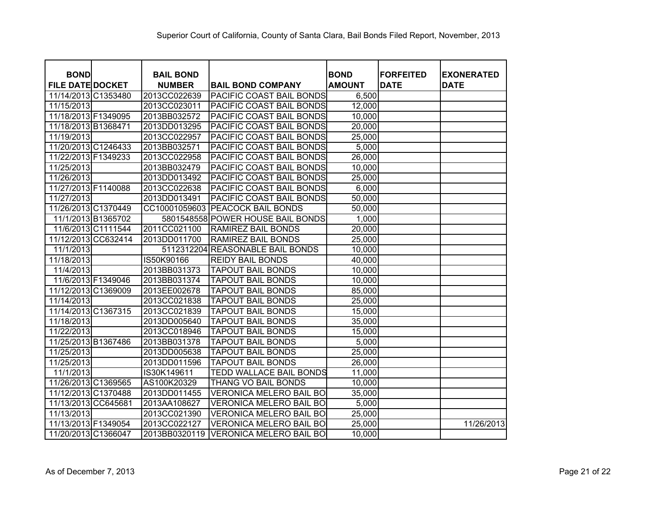|                                        |                                   |                                   |                              | <b>FORFEITED</b> |                                  |
|----------------------------------------|-----------------------------------|-----------------------------------|------------------------------|------------------|----------------------------------|
| <b>BOND</b><br><b>FILE DATE DOCKET</b> | <b>BAIL BOND</b><br><b>NUMBER</b> | <b>BAIL BOND COMPANY</b>          | <b>BOND</b><br><b>AMOUNT</b> | <b>DATE</b>      | <b>EXONERATED</b><br><b>DATE</b> |
| 11/14/2013 C1353480                    | 2013CC022639                      | <b>PACIFIC COAST BAIL BONDS</b>   | 6,500                        |                  |                                  |
| 11/15/2013                             | 2013CC023011                      | <b>PACIFIC COAST BAIL BONDS</b>   | 12,000                       |                  |                                  |
| 11/18/2013 F1349095                    | 2013BB032572                      | PACIFIC COAST BAIL BONDS          | 10,000                       |                  |                                  |
| 11/18/2013 B1368471                    | 2013DD013295                      | PACIFIC COAST BAIL BONDS          | 20,000                       |                  |                                  |
| 11/19/2013                             | 2013CC022957                      | PACIFIC COAST BAIL BONDS          | 25,000                       |                  |                                  |
| 11/20/2013 C1246433                    | 2013BB032571                      | PACIFIC COAST BAIL BONDS          | 5,000                        |                  |                                  |
| 11/22/2013 F1349233                    | 2013CC022958                      | <b>PACIFIC COAST BAIL BONDS</b>   | 26,000                       |                  |                                  |
| 11/25/2013                             | 2013BB032479                      | PACIFIC COAST BAIL BONDS          | 10,000                       |                  |                                  |
| 11/26/2013                             | 2013DD013492                      | <b>PACIFIC COAST BAIL BONDS</b>   | 25,000                       |                  |                                  |
| 11/27/2013 F1140088                    | 2013CC022638                      | <b>PACIFIC COAST BAIL BONDS</b>   | 6,000                        |                  |                                  |
| 11/27/2013                             | 2013DD013491                      | <b>PACIFIC COAST BAIL BONDS</b>   | 50,000                       |                  |                                  |
| 11/26/2013 C1370449                    |                                   | CC10001059603 PEACOCK BAIL BONDS  | 50,000                       |                  |                                  |
| 11/1/2013 B1365702                     |                                   | 5801548558 POWER HOUSE BAIL BONDS | 1,000                        |                  |                                  |
| 11/6/2013 C1111544                     | 2011CC021100                      | <b>RAMIREZ BAIL BONDS</b>         | 20,000                       |                  |                                  |
| 11/12/2013 CC632414                    | 2013DD011700                      | <b>RAMIREZ BAIL BONDS</b>         | 25,000                       |                  |                                  |
| 11/1/2013                              |                                   | 5112312204 REASONABLE BAIL BONDS  | 10,000                       |                  |                                  |
| 11/18/2013                             | IS50K90166                        | <b>REIDY BAIL BONDS</b>           | 40,000                       |                  |                                  |
| 11/4/2013                              | 2013BB031373                      | <b>TAPOUT BAIL BONDS</b>          | 10,000                       |                  |                                  |
| 11/6/2013 F1349046                     | 2013BB031374                      | <b>TAPOUT BAIL BONDS</b>          | 10,000                       |                  |                                  |
| 11/12/2013 C1369009                    | 2013EE002678                      | <b>TAPOUT BAIL BONDS</b>          | 85,000                       |                  |                                  |
| 11/14/2013                             | 2013CC021838                      | <b>TAPOUT BAIL BONDS</b>          | 25,000                       |                  |                                  |
| 11/14/2013 C1367315                    | 2013CC021839                      | <b>TAPOUT BAIL BONDS</b>          | 15,000                       |                  |                                  |
| 11/18/2013                             | 2013DD005640                      | <b>TAPOUT BAIL BONDS</b>          | 35,000                       |                  |                                  |
| 11/22/2013                             | 2013CC018946                      | <b>TAPOUT BAIL BONDS</b>          | 15,000                       |                  |                                  |
| 11/25/2013 B1367486                    | 2013BB031378                      | <b>TAPOUT BAIL BONDS</b>          | 5,000                        |                  |                                  |
| 11/25/2013                             | 2013DD005638                      | <b>TAPOUT BAIL BONDS</b>          | 25,000                       |                  |                                  |
| 11/25/2013                             | 2013DD011596                      | <b>TAPOUT BAIL BONDS</b>          | 26,000                       |                  |                                  |
| 11/1/2013                              | IS30K149611                       | <b>TEDD WALLACE BAIL BONDS</b>    | 11,000                       |                  |                                  |
| 11/26/2013 C1369565                    | AS100K20329                       | THANG VO BAIL BONDS               | 10,000                       |                  |                                  |
| 11/12/2013 C1370488                    | 2013DD011455                      | <b>VERONICA MELERO BAIL BO</b>    | 35,000                       |                  |                                  |
| 11/13/2013 CC645681                    | 2013AA108627                      | VERONICA MELERO BAIL BO           | 5,000                        |                  |                                  |
| 11/13/2013                             | 2013CC021390                      | <b>VERONICA MELERO BAIL BO</b>    | 25,000                       |                  |                                  |
| 11/13/2013 F1349054                    | 2013CC022127                      | <b>VERONICA MELERO BAIL BO</b>    | 25,000                       |                  | 11/26/2013                       |
| 11/20/2013 C1366047                    | 2013BB0320119                     | <b>VERONICA MELERO BAIL BO</b>    | 10,000                       |                  |                                  |